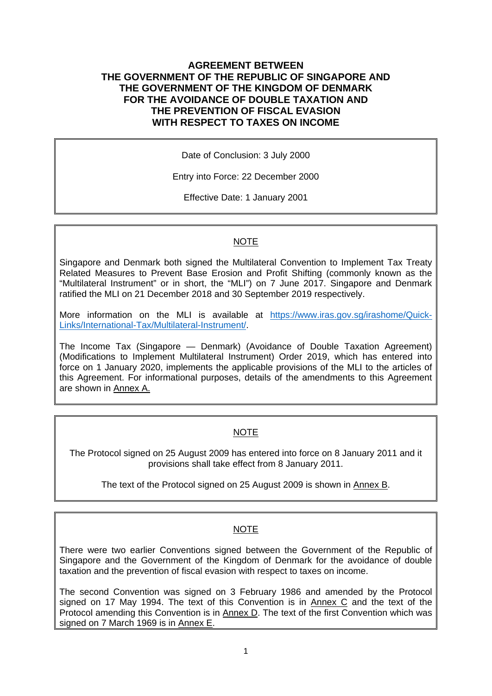## **AGREEMENT BETWEEN THE GOVERNMENT OF THE REPUBLIC OF SINGAPORE AND THE GOVERNMENT OF THE KINGDOM OF DENMARK FOR THE AVOIDANCE OF DOUBLE TAXATION AND THE PREVENTION OF FISCAL EVASION WITH RESPECT TO TAXES ON INCOME**

Date of Conclusion: 3 July 2000

Entry into Force: 22 December 2000

Effective Date: 1 January 2001

## NOTE

Singapore and Denmark both signed the Multilateral Convention to Implement Tax Treaty Related Measures to Prevent Base Erosion and Profit Shifting (commonly known as the "Multilateral Instrument" or in short, the "MLI") on 7 June 2017. Singapore and Denmark ratified the MLI on 21 December 2018 and 30 September 2019 respectively.

More information on the MLI is available at [https://www.iras.gov.sg/irashome/Quick-](https://www.iras.gov.sg/irashome/Quick-Links/International-Tax/Multilateral-Instrument/)[Links/International-Tax/Multilateral-Instrument/.](https://www.iras.gov.sg/irashome/Quick-Links/International-Tax/Multilateral-Instrument/)

The Income Tax (Singapore — Denmark) (Avoidance of Double Taxation Agreement) (Modifications to Implement Multilateral Instrument) Order 2019, which has entered into force on 1 January 2020, implements the applicable provisions of the MLI to the articles of this Agreement. For informational purposes, details of the amendments to this Agreement are shown in Annex A.

# NOTE

The Protocol signed on 25 August 2009 has entered into force on 8 January 2011 and it provisions shall take effect from 8 January 2011.

The text of the Protocol signed on 25 August 2009 is shown in Annex B.

# NOTE

There were two earlier Conventions signed between the Government of the Republic of Singapore and the Government of the Kingdom of Denmark for the avoidance of double taxation and the prevention of fiscal evasion with respect to taxes on income.

The second Convention was signed on 3 February 1986 and amended by the Protocol signed on 17 May 1994. The text of this Convention is in Annex C and the text of the Protocol amending this Convention is in Annex D. The text of the first Convention which was signed on 7 March 1969 is in Annex E.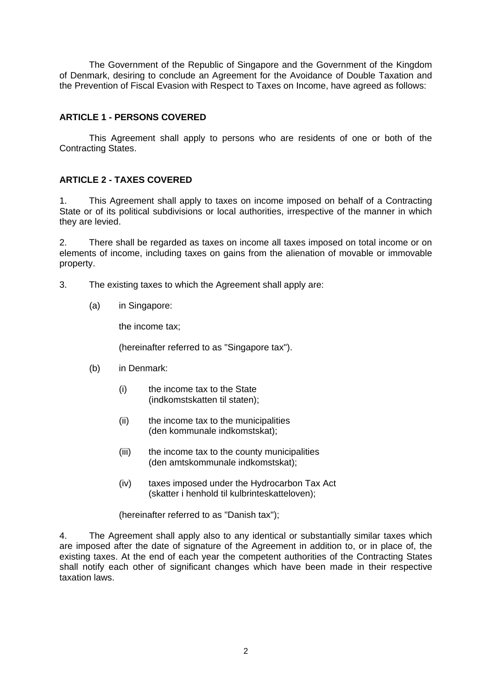The Government of the Republic of Singapore and the Government of the Kingdom of Denmark, desiring to conclude an Agreement for the Avoidance of Double Taxation and the Prevention of Fiscal Evasion with Respect to Taxes on Income, have agreed as follows:

## **ARTICLE 1 - PERSONS COVERED**

This Agreement shall apply to persons who are residents of one or both of the Contracting States.

## **ARTICLE 2 - TAXES COVERED**

1. This Agreement shall apply to taxes on income imposed on behalf of a Contracting State or of its political subdivisions or local authorities, irrespective of the manner in which they are levied.

2. There shall be regarded as taxes on income all taxes imposed on total income or on elements of income, including taxes on gains from the alienation of movable or immovable property.

- 3. The existing taxes to which the Agreement shall apply are:
	- (a) in Singapore:

the income tax;

(hereinafter referred to as "Singapore tax").

- (b) in Denmark:
	- (i) the income tax to the State (indkomstskatten til staten);
	- (ii) the income tax to the municipalities (den kommunale indkomstskat);
	- (iii) the income tax to the county municipalities (den amtskommunale indkomstskat);
	- (iv) taxes imposed under the Hydrocarbon Tax Act (skatter i henhold til kulbrinteskatteloven);

(hereinafter referred to as "Danish tax");

4. The Agreement shall apply also to any identical or substantially similar taxes which are imposed after the date of signature of the Agreement in addition to, or in place of, the existing taxes. At the end of each year the competent authorities of the Contracting States shall notify each other of significant changes which have been made in their respective taxation laws.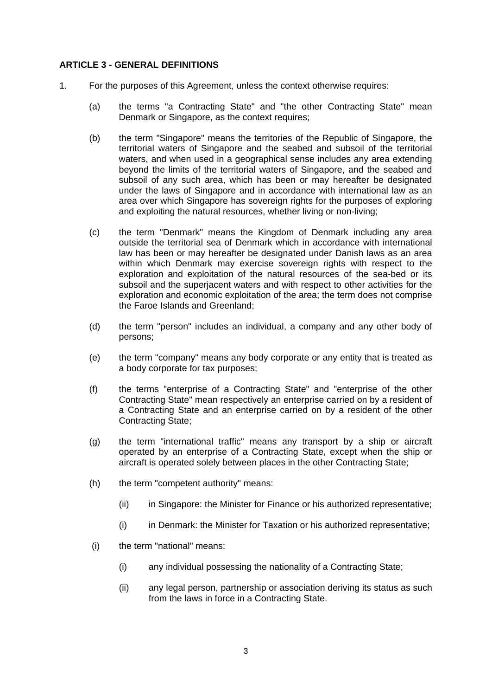#### **ARTICLE 3 - GENERAL DEFINITIONS**

- 1. For the purposes of this Agreement, unless the context otherwise requires:
	- (a) the terms "a Contracting State" and "the other Contracting State" mean Denmark or Singapore, as the context requires;
	- (b) the term "Singapore" means the territories of the Republic of Singapore, the territorial waters of Singapore and the seabed and subsoil of the territorial waters, and when used in a geographical sense includes any area extending beyond the limits of the territorial waters of Singapore, and the seabed and subsoil of any such area, which has been or may hereafter be designated under the laws of Singapore and in accordance with international law as an area over which Singapore has sovereign rights for the purposes of exploring and exploiting the natural resources, whether living or non-living;
	- (c) the term "Denmark" means the Kingdom of Denmark including any area outside the territorial sea of Denmark which in accordance with international law has been or may hereafter be designated under Danish laws as an area within which Denmark may exercise sovereign rights with respect to the exploration and exploitation of the natural resources of the sea-bed or its subsoil and the superjacent waters and with respect to other activities for the exploration and economic exploitation of the area; the term does not comprise the Faroe Islands and Greenland;
	- (d) the term "person" includes an individual, a company and any other body of persons;
	- (e) the term "company" means any body corporate or any entity that is treated as a body corporate for tax purposes;
	- (f) the terms "enterprise of a Contracting State" and "enterprise of the other Contracting State" mean respectively an enterprise carried on by a resident of a Contracting State and an enterprise carried on by a resident of the other Contracting State;
	- (g) the term "international traffic" means any transport by a ship or aircraft operated by an enterprise of a Contracting State, except when the ship or aircraft is operated solely between places in the other Contracting State;
	- (h) the term "competent authority" means:
		- (ii) in Singapore: the Minister for Finance or his authorized representative;
		- (i) in Denmark: the Minister for Taxation or his authorized representative;
	- (i) the term "national" means:
		- (i) any individual possessing the nationality of a Contracting State;
		- (ii) any legal person, partnership or association deriving its status as such from the laws in force in a Contracting State.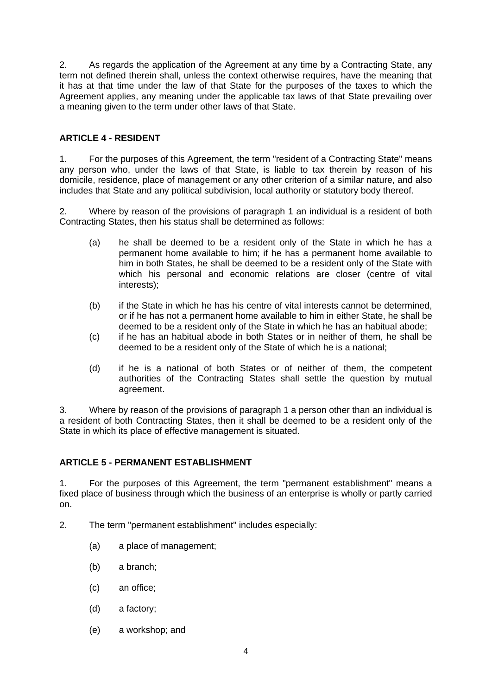2. As regards the application of the Agreement at any time by a Contracting State, any term not defined therein shall, unless the context otherwise requires, have the meaning that it has at that time under the law of that State for the purposes of the taxes to which the Agreement applies, any meaning under the applicable tax laws of that State prevailing over a meaning given to the term under other laws of that State.

## **ARTICLE 4 - RESIDENT**

1. For the purposes of this Agreement, the term "resident of a Contracting State" means any person who, under the laws of that State, is liable to tax therein by reason of his domicile, residence, place of management or any other criterion of a similar nature, and also includes that State and any political subdivision, local authority or statutory body thereof.

2. Where by reason of the provisions of paragraph 1 an individual is a resident of both Contracting States, then his status shall be determined as follows:

- (a) he shall be deemed to be a resident only of the State in which he has a permanent home available to him; if he has a permanent home available to him in both States, he shall be deemed to be a resident only of the State with which his personal and economic relations are closer (centre of vital interests);
- (b) if the State in which he has his centre of vital interests cannot be determined, or if he has not a permanent home available to him in either State, he shall be deemed to be a resident only of the State in which he has an habitual abode;
- (c) if he has an habitual abode in both States or in neither of them, he shall be deemed to be a resident only of the State of which he is a national;
- (d) if he is a national of both States or of neither of them, the competent authorities of the Contracting States shall settle the question by mutual agreement.

3. Where by reason of the provisions of paragraph 1 a person other than an individual is a resident of both Contracting States, then it shall be deemed to be a resident only of the State in which its place of effective management is situated.

## **ARTICLE 5 - PERMANENT ESTABLISHMENT**

1. For the purposes of this Agreement, the term "permanent establishment" means a fixed place of business through which the business of an enterprise is wholly or partly carried on.

- 2. The term "permanent establishment" includes especially:
	- (a) a place of management;
	- (b) a branch;
	- (c) an office;
	- (d) a factory;
	- (e) a workshop; and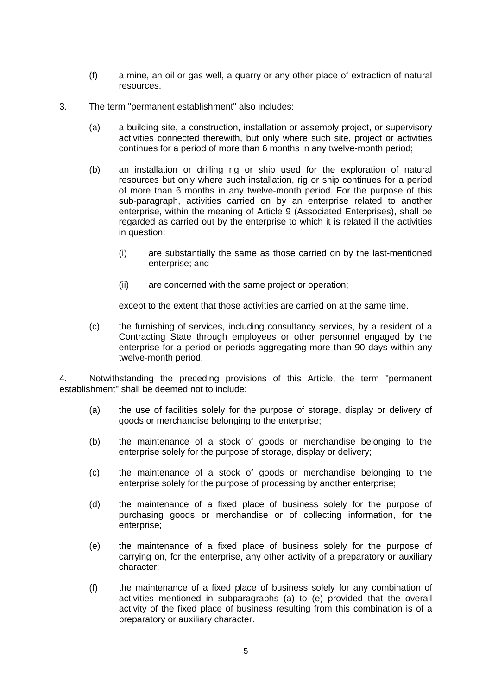- (f) a mine, an oil or gas well, a quarry or any other place of extraction of natural resources.
- 3. The term "permanent establishment" also includes:
	- (a) a building site, a construction, installation or assembly project, or supervisory activities connected therewith, but only where such site, project or activities continues for a period of more than 6 months in any twelve-month period;
	- (b) an installation or drilling rig or ship used for the exploration of natural resources but only where such installation, rig or ship continues for a period of more than 6 months in any twelve-month period. For the purpose of this sub-paragraph, activities carried on by an enterprise related to another enterprise, within the meaning of Article 9 (Associated Enterprises), shall be regarded as carried out by the enterprise to which it is related if the activities in question:
		- (i) are substantially the same as those carried on by the last-mentioned enterprise; and
		- (ii) are concerned with the same project or operation;

except to the extent that those activities are carried on at the same time.

(c) the furnishing of services, including consultancy services, by a resident of a Contracting State through employees or other personnel engaged by the enterprise for a period or periods aggregating more than 90 days within any twelve-month period.

4. Notwithstanding the preceding provisions of this Article, the term "permanent establishment" shall be deemed not to include:

- (a) the use of facilities solely for the purpose of storage, display or delivery of goods or merchandise belonging to the enterprise;
- (b) the maintenance of a stock of goods or merchandise belonging to the enterprise solely for the purpose of storage, display or delivery;
- (c) the maintenance of a stock of goods or merchandise belonging to the enterprise solely for the purpose of processing by another enterprise;
- (d) the maintenance of a fixed place of business solely for the purpose of purchasing goods or merchandise or of collecting information, for the enterprise;
- (e) the maintenance of a fixed place of business solely for the purpose of carrying on, for the enterprise, any other activity of a preparatory or auxiliary character;
- (f) the maintenance of a fixed place of business solely for any combination of activities mentioned in subparagraphs (a) to (e) provided that the overall activity of the fixed place of business resulting from this combination is of a preparatory or auxiliary character.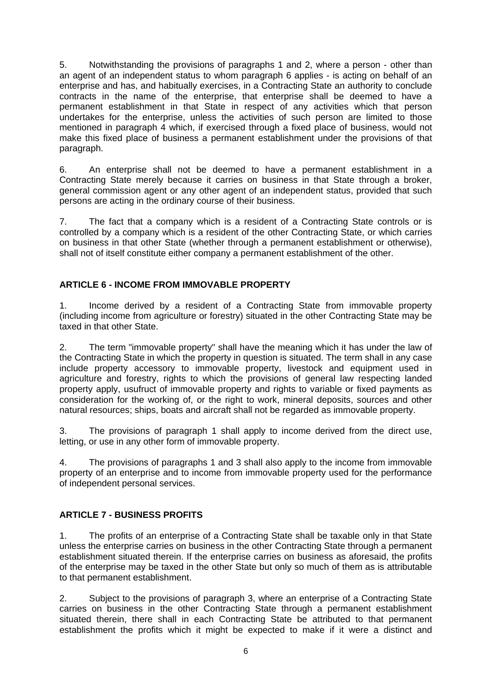5. Notwithstanding the provisions of paragraphs 1 and 2, where a person - other than an agent of an independent status to whom paragraph 6 applies - is acting on behalf of an enterprise and has, and habitually exercises, in a Contracting State an authority to conclude contracts in the name of the enterprise, that enterprise shall be deemed to have a permanent establishment in that State in respect of any activities which that person undertakes for the enterprise, unless the activities of such person are limited to those mentioned in paragraph 4 which, if exercised through a fixed place of business, would not make this fixed place of business a permanent establishment under the provisions of that paragraph.

6. An enterprise shall not be deemed to have a permanent establishment in a Contracting State merely because it carries on business in that State through a broker, general commission agent or any other agent of an independent status, provided that such persons are acting in the ordinary course of their business.

7. The fact that a company which is a resident of a Contracting State controls or is controlled by a company which is a resident of the other Contracting State, or which carries on business in that other State (whether through a permanent establishment or otherwise), shall not of itself constitute either company a permanent establishment of the other.

# **ARTICLE 6 - INCOME FROM IMMOVABLE PROPERTY**

1. Income derived by a resident of a Contracting State from immovable property (including income from agriculture or forestry) situated in the other Contracting State may be taxed in that other State.

2. The term "immovable property" shall have the meaning which it has under the law of the Contracting State in which the property in question is situated. The term shall in any case include property accessory to immovable property, livestock and equipment used in agriculture and forestry, rights to which the provisions of general law respecting landed property apply, usufruct of immovable property and rights to variable or fixed payments as consideration for the working of, or the right to work, mineral deposits, sources and other natural resources; ships, boats and aircraft shall not be regarded as immovable property.

3. The provisions of paragraph 1 shall apply to income derived from the direct use, letting, or use in any other form of immovable property.

4. The provisions of paragraphs 1 and 3 shall also apply to the income from immovable property of an enterprise and to income from immovable property used for the performance of independent personal services.

# **ARTICLE 7 - BUSINESS PROFITS**

1. The profits of an enterprise of a Contracting State shall be taxable only in that State unless the enterprise carries on business in the other Contracting State through a permanent establishment situated therein. If the enterprise carries on business as aforesaid, the profits of the enterprise may be taxed in the other State but only so much of them as is attributable to that permanent establishment.

2. Subject to the provisions of paragraph 3, where an enterprise of a Contracting State carries on business in the other Contracting State through a permanent establishment situated therein, there shall in each Contracting State be attributed to that permanent establishment the profits which it might be expected to make if it were a distinct and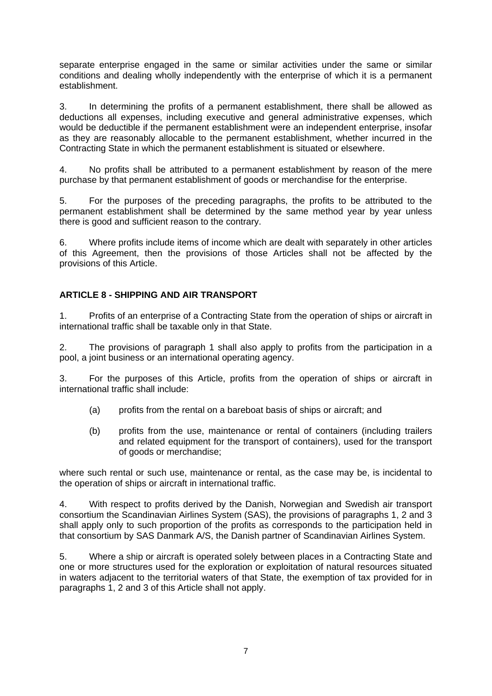separate enterprise engaged in the same or similar activities under the same or similar conditions and dealing wholly independently with the enterprise of which it is a permanent establishment.

3. In determining the profits of a permanent establishment, there shall be allowed as deductions all expenses, including executive and general administrative expenses, which would be deductible if the permanent establishment were an independent enterprise, insofar as they are reasonably allocable to the permanent establishment, whether incurred in the Contracting State in which the permanent establishment is situated or elsewhere.

4. No profits shall be attributed to a permanent establishment by reason of the mere purchase by that permanent establishment of goods or merchandise for the enterprise.

5. For the purposes of the preceding paragraphs, the profits to be attributed to the permanent establishment shall be determined by the same method year by year unless there is good and sufficient reason to the contrary.

6. Where profits include items of income which are dealt with separately in other articles of this Agreement, then the provisions of those Articles shall not be affected by the provisions of this Article.

# **ARTICLE 8 - SHIPPING AND AIR TRANSPORT**

1. Profits of an enterprise of a Contracting State from the operation of ships or aircraft in international traffic shall be taxable only in that State.

2. The provisions of paragraph 1 shall also apply to profits from the participation in a pool, a joint business or an international operating agency.

3. For the purposes of this Article, profits from the operation of ships or aircraft in international traffic shall include:

- (a) profits from the rental on a bareboat basis of ships or aircraft; and
- (b) profits from the use, maintenance or rental of containers (including trailers and related equipment for the transport of containers), used for the transport of goods or merchandise;

where such rental or such use, maintenance or rental, as the case may be, is incidental to the operation of ships or aircraft in international traffic.

4. With respect to profits derived by the Danish, Norwegian and Swedish air transport consortium the Scandinavian Airlines System (SAS), the provisions of paragraphs 1, 2 and 3 shall apply only to such proportion of the profits as corresponds to the participation held in that consortium by SAS Danmark A/S, the Danish partner of Scandinavian Airlines System.

5. Where a ship or aircraft is operated solely between places in a Contracting State and one or more structures used for the exploration or exploitation of natural resources situated in waters adjacent to the territorial waters of that State, the exemption of tax provided for in paragraphs 1, 2 and 3 of this Article shall not apply.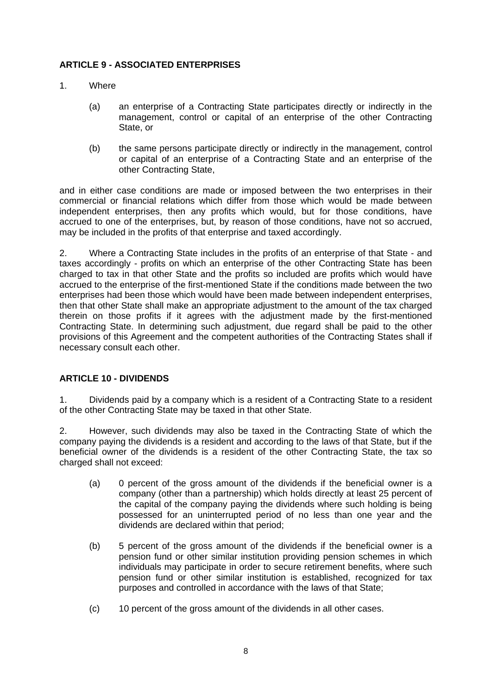# **ARTICLE 9 - ASSOCIATED ENTERPRISES**

- 1. Where
	- (a) an enterprise of a Contracting State participates directly or indirectly in the management, control or capital of an enterprise of the other Contracting State, or
	- (b) the same persons participate directly or indirectly in the management, control or capital of an enterprise of a Contracting State and an enterprise of the other Contracting State,

and in either case conditions are made or imposed between the two enterprises in their commercial or financial relations which differ from those which would be made between independent enterprises, then any profits which would, but for those conditions, have accrued to one of the enterprises, but, by reason of those conditions, have not so accrued, may be included in the profits of that enterprise and taxed accordingly.

2. Where a Contracting State includes in the profits of an enterprise of that State - and taxes accordingly - profits on which an enterprise of the other Contracting State has been charged to tax in that other State and the profits so included are profits which would have accrued to the enterprise of the first-mentioned State if the conditions made between the two enterprises had been those which would have been made between independent enterprises, then that other State shall make an appropriate adjustment to the amount of the tax charged therein on those profits if it agrees with the adjustment made by the first-mentioned Contracting State. In determining such adjustment, due regard shall be paid to the other provisions of this Agreement and the competent authorities of the Contracting States shall if necessary consult each other.

# **ARTICLE 10 - DIVIDENDS**

1. Dividends paid by a company which is a resident of a Contracting State to a resident of the other Contracting State may be taxed in that other State.

2. However, such dividends may also be taxed in the Contracting State of which the company paying the dividends is a resident and according to the laws of that State, but if the beneficial owner of the dividends is a resident of the other Contracting State, the tax so charged shall not exceed:

- (a) 0 percent of the gross amount of the dividends if the beneficial owner is a company (other than a partnership) which holds directly at least 25 percent of the capital of the company paying the dividends where such holding is being possessed for an uninterrupted period of no less than one year and the dividends are declared within that period;
- (b) 5 percent of the gross amount of the dividends if the beneficial owner is a pension fund or other similar institution providing pension schemes in which individuals may participate in order to secure retirement benefits, where such pension fund or other similar institution is established, recognized for tax purposes and controlled in accordance with the laws of that State;
- (c) 10 percent of the gross amount of the dividends in all other cases.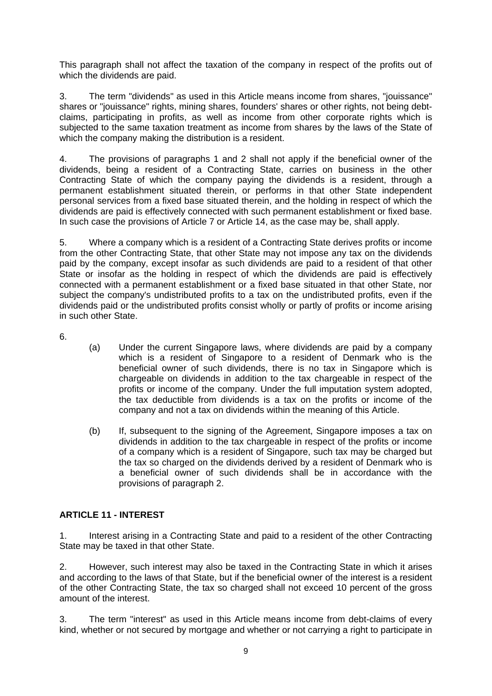This paragraph shall not affect the taxation of the company in respect of the profits out of which the dividends are paid.

3. The term "dividends" as used in this Article means income from shares, "jouissance" shares or "jouissance" rights, mining shares, founders' shares or other rights, not being debtclaims, participating in profits, as well as income from other corporate rights which is subjected to the same taxation treatment as income from shares by the laws of the State of which the company making the distribution is a resident.

4. The provisions of paragraphs 1 and 2 shall not apply if the beneficial owner of the dividends, being a resident of a Contracting State, carries on business in the other Contracting State of which the company paying the dividends is a resident, through a permanent establishment situated therein, or performs in that other State independent personal services from a fixed base situated therein, and the holding in respect of which the dividends are paid is effectively connected with such permanent establishment or fixed base. In such case the provisions of Article 7 or Article 14, as the case may be, shall apply.

5. Where a company which is a resident of a Contracting State derives profits or income from the other Contracting State, that other State may not impose any tax on the dividends paid by the company, except insofar as such dividends are paid to a resident of that other State or insofar as the holding in respect of which the dividends are paid is effectively connected with a permanent establishment or a fixed base situated in that other State, nor subject the company's undistributed profits to a tax on the undistributed profits, even if the dividends paid or the undistributed profits consist wholly or partly of profits or income arising in such other State.

6.

- (a) Under the current Singapore laws, where dividends are paid by a company which is a resident of Singapore to a resident of Denmark who is the beneficial owner of such dividends, there is no tax in Singapore which is chargeable on dividends in addition to the tax chargeable in respect of the profits or income of the company. Under the full imputation system adopted, the tax deductible from dividends is a tax on the profits or income of the company and not a tax on dividends within the meaning of this Article.
- (b) If, subsequent to the signing of the Agreement, Singapore imposes a tax on dividends in addition to the tax chargeable in respect of the profits or income of a company which is a resident of Singapore, such tax may be charged but the tax so charged on the dividends derived by a resident of Denmark who is a beneficial owner of such dividends shall be in accordance with the provisions of paragraph 2.

# **ARTICLE 11 - INTEREST**

1. Interest arising in a Contracting State and paid to a resident of the other Contracting State may be taxed in that other State.

2. However, such interest may also be taxed in the Contracting State in which it arises and according to the laws of that State, but if the beneficial owner of the interest is a resident of the other Contracting State, the tax so charged shall not exceed 10 percent of the gross amount of the interest.

3. The term "interest" as used in this Article means income from debt-claims of every kind, whether or not secured by mortgage and whether or not carrying a right to participate in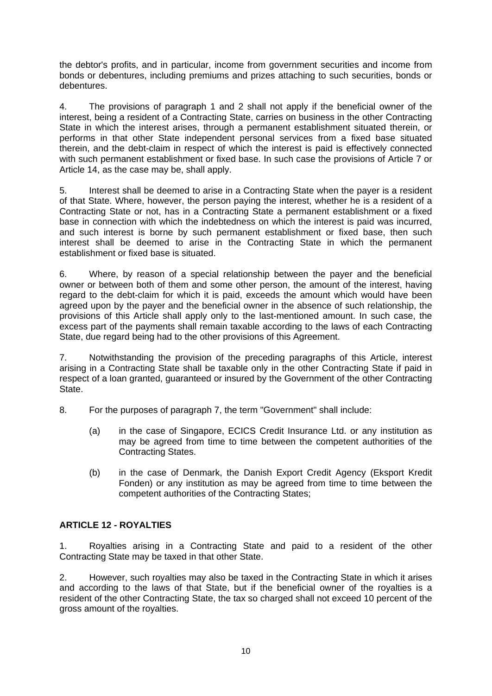the debtor's profits, and in particular, income from government securities and income from bonds or debentures, including premiums and prizes attaching to such securities, bonds or debentures.

4. The provisions of paragraph 1 and 2 shall not apply if the beneficial owner of the interest, being a resident of a Contracting State, carries on business in the other Contracting State in which the interest arises, through a permanent establishment situated therein, or performs in that other State independent personal services from a fixed base situated therein, and the debt-claim in respect of which the interest is paid is effectively connected with such permanent establishment or fixed base. In such case the provisions of Article 7 or Article 14, as the case may be, shall apply.

5. Interest shall be deemed to arise in a Contracting State when the payer is a resident of that State. Where, however, the person paying the interest, whether he is a resident of a Contracting State or not, has in a Contracting State a permanent establishment or a fixed base in connection with which the indebtedness on which the interest is paid was incurred, and such interest is borne by such permanent establishment or fixed base, then such interest shall be deemed to arise in the Contracting State in which the permanent establishment or fixed base is situated.

6. Where, by reason of a special relationship between the payer and the beneficial owner or between both of them and some other person, the amount of the interest, having regard to the debt-claim for which it is paid, exceeds the amount which would have been agreed upon by the payer and the beneficial owner in the absence of such relationship, the provisions of this Article shall apply only to the last-mentioned amount. In such case, the excess part of the payments shall remain taxable according to the laws of each Contracting State, due regard being had to the other provisions of this Agreement.

7. Notwithstanding the provision of the preceding paragraphs of this Article, interest arising in a Contracting State shall be taxable only in the other Contracting State if paid in respect of a loan granted, guaranteed or insured by the Government of the other Contracting State.

8. For the purposes of paragraph 7, the term "Government" shall include:

- (a) in the case of Singapore, ECICS Credit Insurance Ltd. or any institution as may be agreed from time to time between the competent authorities of the Contracting States.
- (b) in the case of Denmark, the Danish Export Credit Agency (Eksport Kredit Fonden) or any institution as may be agreed from time to time between the competent authorities of the Contracting States;

# **ARTICLE 12 - ROYALTIES**

1. Royalties arising in a Contracting State and paid to a resident of the other Contracting State may be taxed in that other State.

2. However, such royalties may also be taxed in the Contracting State in which it arises and according to the laws of that State, but if the beneficial owner of the royalties is a resident of the other Contracting State, the tax so charged shall not exceed 10 percent of the gross amount of the royalties.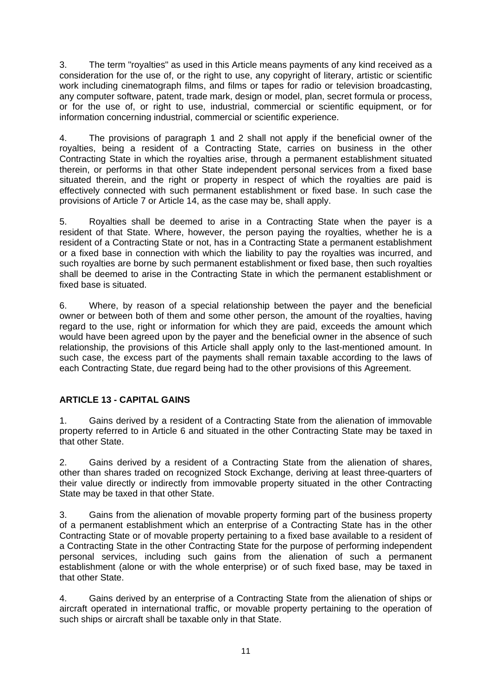3. The term "royalties" as used in this Article means payments of any kind received as a consideration for the use of, or the right to use, any copyright of literary, artistic or scientific work including cinematograph films, and films or tapes for radio or television broadcasting, any computer software, patent, trade mark, design or model, plan, secret formula or process, or for the use of, or right to use, industrial, commercial or scientific equipment, or for information concerning industrial, commercial or scientific experience.

4. The provisions of paragraph 1 and 2 shall not apply if the beneficial owner of the royalties, being a resident of a Contracting State, carries on business in the other Contracting State in which the royalties arise, through a permanent establishment situated therein, or performs in that other State independent personal services from a fixed base situated therein, and the right or property in respect of which the royalties are paid is effectively connected with such permanent establishment or fixed base. In such case the provisions of Article 7 or Article 14, as the case may be, shall apply.

5. Royalties shall be deemed to arise in a Contracting State when the payer is a resident of that State. Where, however, the person paying the royalties, whether he is a resident of a Contracting State or not, has in a Contracting State a permanent establishment or a fixed base in connection with which the liability to pay the royalties was incurred, and such royalties are borne by such permanent establishment or fixed base, then such royalties shall be deemed to arise in the Contracting State in which the permanent establishment or fixed base is situated.

6. Where, by reason of a special relationship between the payer and the beneficial owner or between both of them and some other person, the amount of the royalties, having regard to the use, right or information for which they are paid, exceeds the amount which would have been agreed upon by the payer and the beneficial owner in the absence of such relationship, the provisions of this Article shall apply only to the last-mentioned amount. In such case, the excess part of the payments shall remain taxable according to the laws of each Contracting State, due regard being had to the other provisions of this Agreement.

# **ARTICLE 13 - CAPITAL GAINS**

1. Gains derived by a resident of a Contracting State from the alienation of immovable property referred to in Article 6 and situated in the other Contracting State may be taxed in that other State.

2. Gains derived by a resident of a Contracting State from the alienation of shares, other than shares traded on recognized Stock Exchange, deriving at least three-quarters of their value directly or indirectly from immovable property situated in the other Contracting State may be taxed in that other State.

3. Gains from the alienation of movable property forming part of the business property of a permanent establishment which an enterprise of a Contracting State has in the other Contracting State or of movable property pertaining to a fixed base available to a resident of a Contracting State in the other Contracting State for the purpose of performing independent personal services, including such gains from the alienation of such a permanent establishment (alone or with the whole enterprise) or of such fixed base, may be taxed in that other State.

4. Gains derived by an enterprise of a Contracting State from the alienation of ships or aircraft operated in international traffic, or movable property pertaining to the operation of such ships or aircraft shall be taxable only in that State.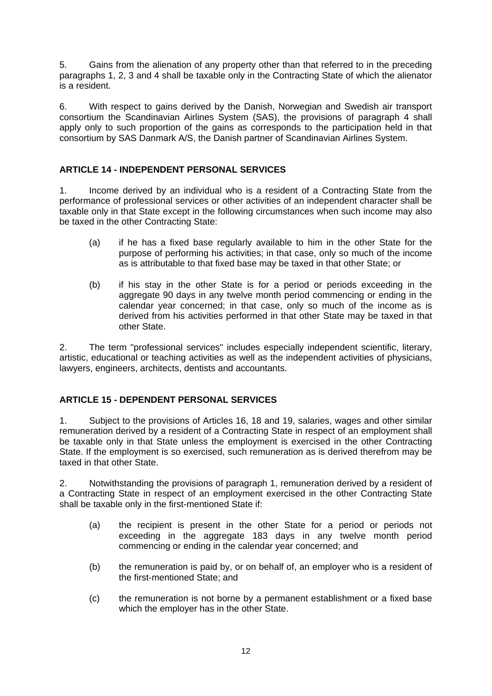5. Gains from the alienation of any property other than that referred to in the preceding paragraphs 1, 2, 3 and 4 shall be taxable only in the Contracting State of which the alienator is a resident.

6. With respect to gains derived by the Danish, Norwegian and Swedish air transport consortium the Scandinavian Airlines System (SAS), the provisions of paragraph 4 shall apply only to such proportion of the gains as corresponds to the participation held in that consortium by SAS Danmark A/S, the Danish partner of Scandinavian Airlines System.

# **ARTICLE 14 - INDEPENDENT PERSONAL SERVICES**

1. Income derived by an individual who is a resident of a Contracting State from the performance of professional services or other activities of an independent character shall be taxable only in that State except in the following circumstances when such income may also be taxed in the other Contracting State:

- (a) if he has a fixed base regularly available to him in the other State for the purpose of performing his activities; in that case, only so much of the income as is attributable to that fixed base may be taxed in that other State; or
- (b) if his stay in the other State is for a period or periods exceeding in the aggregate 90 days in any twelve month period commencing or ending in the calendar year concerned; in that case, only so much of the income as is derived from his activities performed in that other State may be taxed in that other State.

2. The term "professional services" includes especially independent scientific, literary, artistic, educational or teaching activities as well as the independent activities of physicians, lawyers, engineers, architects, dentists and accountants.

# **ARTICLE 15 - DEPENDENT PERSONAL SERVICES**

1. Subject to the provisions of Articles 16, 18 and 19, salaries, wages and other similar remuneration derived by a resident of a Contracting State in respect of an employment shall be taxable only in that State unless the employment is exercised in the other Contracting State. If the employment is so exercised, such remuneration as is derived therefrom may be taxed in that other State.

2. Notwithstanding the provisions of paragraph 1, remuneration derived by a resident of a Contracting State in respect of an employment exercised in the other Contracting State shall be taxable only in the first-mentioned State if:

- (a) the recipient is present in the other State for a period or periods not exceeding in the aggregate 183 days in any twelve month period commencing or ending in the calendar year concerned; and
- (b) the remuneration is paid by, or on behalf of, an employer who is a resident of the first-mentioned State; and
- (c) the remuneration is not borne by a permanent establishment or a fixed base which the employer has in the other State.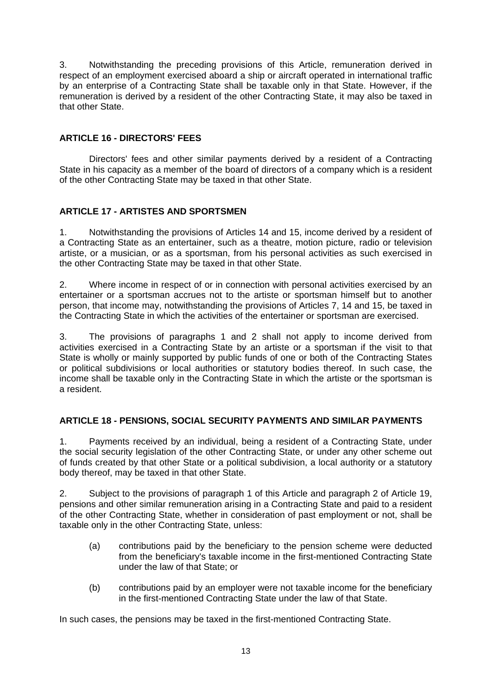3. Notwithstanding the preceding provisions of this Article, remuneration derived in respect of an employment exercised aboard a ship or aircraft operated in international traffic by an enterprise of a Contracting State shall be taxable only in that State. However, if the remuneration is derived by a resident of the other Contracting State, it may also be taxed in that other State.

## **ARTICLE 16 - DIRECTORS' FEES**

Directors' fees and other similar payments derived by a resident of a Contracting State in his capacity as a member of the board of directors of a company which is a resident of the other Contracting State may be taxed in that other State.

# **ARTICLE 17 - ARTISTES AND SPORTSMEN**

1. Notwithstanding the provisions of Articles 14 and 15, income derived by a resident of a Contracting State as an entertainer, such as a theatre, motion picture, radio or television artiste, or a musician, or as a sportsman, from his personal activities as such exercised in the other Contracting State may be taxed in that other State.

2. Where income in respect of or in connection with personal activities exercised by an entertainer or a sportsman accrues not to the artiste or sportsman himself but to another person, that income may, notwithstanding the provisions of Articles 7, 14 and 15, be taxed in the Contracting State in which the activities of the entertainer or sportsman are exercised.

3. The provisions of paragraphs 1 and 2 shall not apply to income derived from activities exercised in a Contracting State by an artiste or a sportsman if the visit to that State is wholly or mainly supported by public funds of one or both of the Contracting States or political subdivisions or local authorities or statutory bodies thereof. In such case, the income shall be taxable only in the Contracting State in which the artiste or the sportsman is a resident.

# **ARTICLE 18 - PENSIONS, SOCIAL SECURITY PAYMENTS AND SIMILAR PAYMENTS**

1. Payments received by an individual, being a resident of a Contracting State, under the social security legislation of the other Contracting State, or under any other scheme out of funds created by that other State or a political subdivision, a local authority or a statutory body thereof, may be taxed in that other State.

2. Subject to the provisions of paragraph 1 of this Article and paragraph 2 of Article 19, pensions and other similar remuneration arising in a Contracting State and paid to a resident of the other Contracting State, whether in consideration of past employment or not, shall be taxable only in the other Contracting State, unless:

- (a) contributions paid by the beneficiary to the pension scheme were deducted from the beneficiary's taxable income in the first-mentioned Contracting State under the law of that State; or
- (b) contributions paid by an employer were not taxable income for the beneficiary in the first-mentioned Contracting State under the law of that State.

In such cases, the pensions may be taxed in the first-mentioned Contracting State.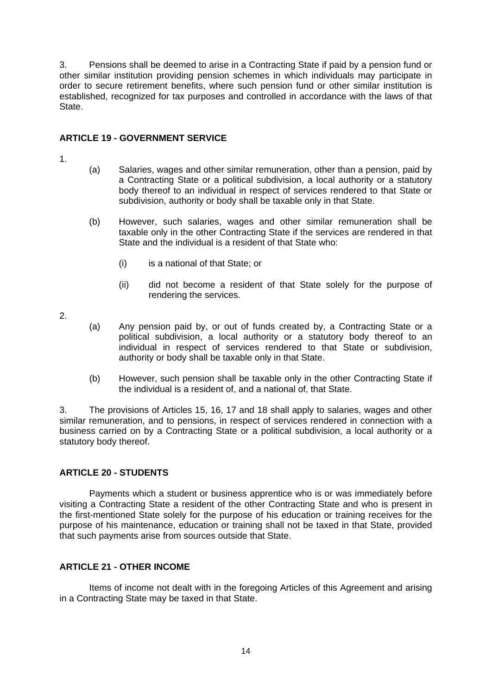3. Pensions shall be deemed to arise in a Contracting State if paid by a pension fund or other similar institution providing pension schemes in which individuals may participate in order to secure retirement benefits, where such pension fund or other similar institution is established, recognized for tax purposes and controlled in accordance with the laws of that State.

## **ARTICLE 19 - GOVERNMENT SERVICE**

1.

- (a) Salaries, wages and other similar remuneration, other than a pension, paid by a Contracting State or a political subdivision, a local authority or a statutory body thereof to an individual in respect of services rendered to that State or subdivision, authority or body shall be taxable only in that State.
- (b) However, such salaries, wages and other similar remuneration shall be taxable only in the other Contracting State if the services are rendered in that State and the individual is a resident of that State who:
	- (i) is a national of that State; or
	- (ii) did not become a resident of that State solely for the purpose of rendering the services.

2.

- (a) Any pension paid by, or out of funds created by, a Contracting State or a political subdivision, a local authority or a statutory body thereof to an individual in respect of services rendered to that State or subdivision, authority or body shall be taxable only in that State.
- (b) However, such pension shall be taxable only in the other Contracting State if the individual is a resident of, and a national of, that State.

3. The provisions of Articles 15, 16, 17 and 18 shall apply to salaries, wages and other similar remuneration, and to pensions, in respect of services rendered in connection with a business carried on by a Contracting State or a political subdivision, a local authority or a statutory body thereof.

# **ARTICLE 20 - STUDENTS**

Payments which a student or business apprentice who is or was immediately before visiting a Contracting State a resident of the other Contracting State and who is present in the first-mentioned State solely for the purpose of his education or training receives for the purpose of his maintenance, education or training shall not be taxed in that State, provided that such payments arise from sources outside that State.

# **ARTICLE 21 - OTHER INCOME**

Items of income not dealt with in the foregoing Articles of this Agreement and arising in a Contracting State may be taxed in that State.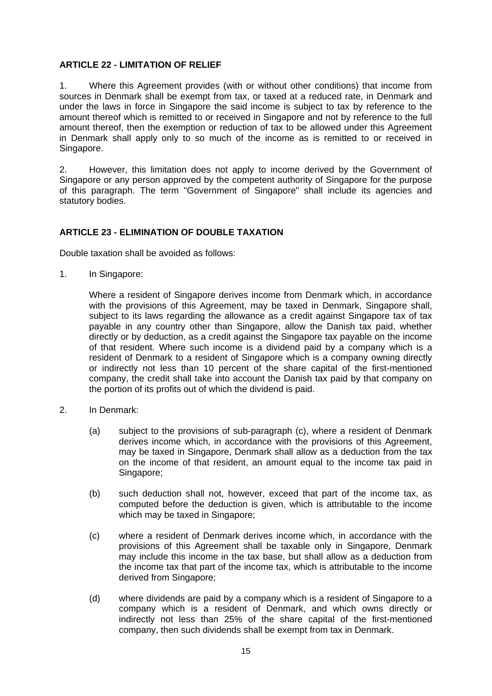### **ARTICLE 22 - LIMITATION OF RELIEF**

1. Where this Agreement provides (with or without other conditions) that income from sources in Denmark shall be exempt from tax, or taxed at a reduced rate, in Denmark and under the laws in force in Singapore the said income is subject to tax by reference to the amount thereof which is remitted to or received in Singapore and not by reference to the full amount thereof, then the exemption or reduction of tax to be allowed under this Agreement in Denmark shall apply only to so much of the income as is remitted to or received in Singapore.

2. However, this limitation does not apply to income derived by the Government of Singapore or any person approved by the competent authority of Singapore for the purpose of this paragraph. The term "Government of Singapore" shall include its agencies and statutory bodies.

## **ARTICLE 23 - ELIMINATION OF DOUBLE TAXATION**

Double taxation shall be avoided as follows:

1. In Singapore:

Where a resident of Singapore derives income from Denmark which, in accordance with the provisions of this Agreement, may be taxed in Denmark, Singapore shall, subject to its laws regarding the allowance as a credit against Singapore tax of tax payable in any country other than Singapore, allow the Danish tax paid, whether directly or by deduction, as a credit against the Singapore tax payable on the income of that resident. Where such income is a dividend paid by a company which is a resident of Denmark to a resident of Singapore which is a company owning directly or indirectly not less than 10 percent of the share capital of the first-mentioned company, the credit shall take into account the Danish tax paid by that company on the portion of its profits out of which the dividend is paid.

- 2. In Denmark:
	- (a) subject to the provisions of sub-paragraph (c), where a resident of Denmark derives income which, in accordance with the provisions of this Agreement, may be taxed in Singapore, Denmark shall allow as a deduction from the tax on the income of that resident, an amount equal to the income tax paid in Singapore;
	- (b) such deduction shall not, however, exceed that part of the income tax, as computed before the deduction is given, which is attributable to the income which may be taxed in Singapore;
	- (c) where a resident of Denmark derives income which, in accordance with the provisions of this Agreement shall be taxable only in Singapore, Denmark may include this income in the tax base, but shall allow as a deduction from the income tax that part of the income tax, which is attributable to the income derived from Singapore;
	- (d) where dividends are paid by a company which is a resident of Singapore to a company which is a resident of Denmark, and which owns directly or indirectly not less than 25% of the share capital of the first-mentioned company, then such dividends shall be exempt from tax in Denmark.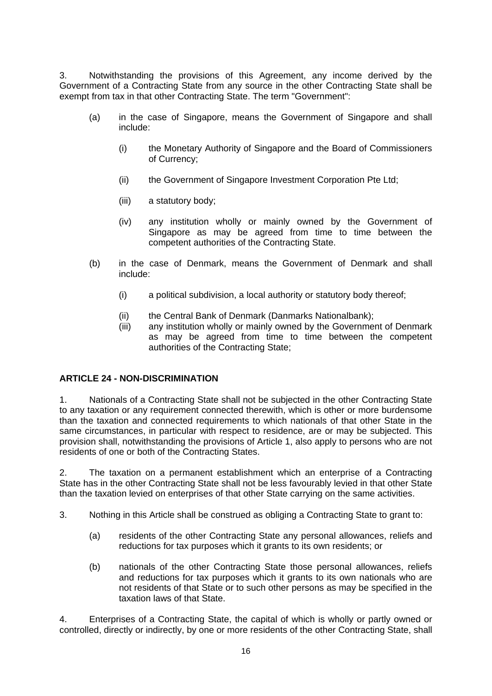3. Notwithstanding the provisions of this Agreement, any income derived by the Government of a Contracting State from any source in the other Contracting State shall be exempt from tax in that other Contracting State. The term "Government":

- (a) in the case of Singapore, means the Government of Singapore and shall include:
	- (i) the Monetary Authority of Singapore and the Board of Commissioners of Currency;
	- (ii) the Government of Singapore Investment Corporation Pte Ltd;
	- (iii) a statutory body;
	- (iv) any institution wholly or mainly owned by the Government of Singapore as may be agreed from time to time between the competent authorities of the Contracting State.
- (b) in the case of Denmark, means the Government of Denmark and shall include:
	- (i) a political subdivision, a local authority or statutory body thereof;
	- (ii) the Central Bank of Denmark (Danmarks Nationalbank);
	- (iii) any institution wholly or mainly owned by the Government of Denmark as may be agreed from time to time between the competent authorities of the Contracting State;

# **ARTICLE 24 - NON-DISCRIMINATION**

1. Nationals of a Contracting State shall not be subjected in the other Contracting State to any taxation or any requirement connected therewith, which is other or more burdensome than the taxation and connected requirements to which nationals of that other State in the same circumstances, in particular with respect to residence, are or may be subjected. This provision shall, notwithstanding the provisions of Article 1, also apply to persons who are not residents of one or both of the Contracting States.

2. The taxation on a permanent establishment which an enterprise of a Contracting State has in the other Contracting State shall not be less favourably levied in that other State than the taxation levied on enterprises of that other State carrying on the same activities.

- 3. Nothing in this Article shall be construed as obliging a Contracting State to grant to:
	- (a) residents of the other Contracting State any personal allowances, reliefs and reductions for tax purposes which it grants to its own residents; or
	- (b) nationals of the other Contracting State those personal allowances, reliefs and reductions for tax purposes which it grants to its own nationals who are not residents of that State or to such other persons as may be specified in the taxation laws of that State.

4. Enterprises of a Contracting State, the capital of which is wholly or partly owned or controlled, directly or indirectly, by one or more residents of the other Contracting State, shall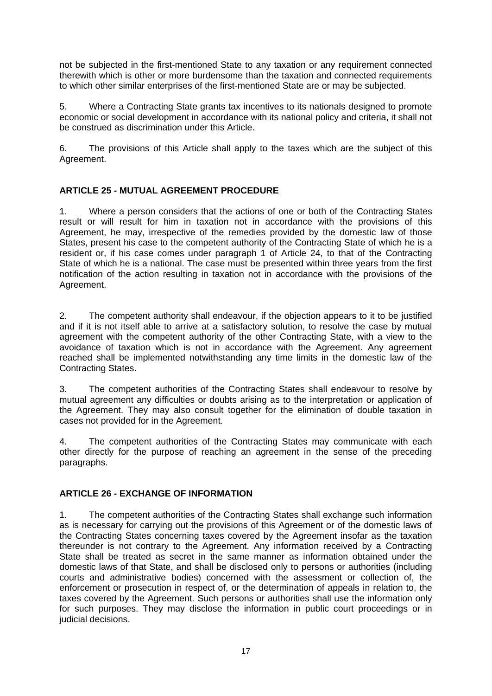not be subjected in the first-mentioned State to any taxation or any requirement connected therewith which is other or more burdensome than the taxation and connected requirements to which other similar enterprises of the first-mentioned State are or may be subjected.

5. Where a Contracting State grants tax incentives to its nationals designed to promote economic or social development in accordance with its national policy and criteria, it shall not be construed as discrimination under this Article.

6. The provisions of this Article shall apply to the taxes which are the subject of this Agreement.

# **ARTICLE 25 - MUTUAL AGREEMENT PROCEDURE**

1. Where a person considers that the actions of one or both of the Contracting States result or will result for him in taxation not in accordance with the provisions of this Agreement, he may, irrespective of the remedies provided by the domestic law of those States, present his case to the competent authority of the Contracting State of which he is a resident or, if his case comes under paragraph 1 of Article 24, to that of the Contracting State of which he is a national. The case must be presented within three years from the first notification of the action resulting in taxation not in accordance with the provisions of the Agreement.

2. The competent authority shall endeavour, if the objection appears to it to be justified and if it is not itself able to arrive at a satisfactory solution, to resolve the case by mutual agreement with the competent authority of the other Contracting State, with a view to the avoidance of taxation which is not in accordance with the Agreement. Any agreement reached shall be implemented notwithstanding any time limits in the domestic law of the Contracting States.

3. The competent authorities of the Contracting States shall endeavour to resolve by mutual agreement any difficulties or doubts arising as to the interpretation or application of the Agreement. They may also consult together for the elimination of double taxation in cases not provided for in the Agreement.

4. The competent authorities of the Contracting States may communicate with each other directly for the purpose of reaching an agreement in the sense of the preceding paragraphs.

# **ARTICLE 26 - EXCHANGE OF INFORMATION**

1. The competent authorities of the Contracting States shall exchange such information as is necessary for carrying out the provisions of this Agreement or of the domestic laws of the Contracting States concerning taxes covered by the Agreement insofar as the taxation thereunder is not contrary to the Agreement. Any information received by a Contracting State shall be treated as secret in the same manner as information obtained under the domestic laws of that State, and shall be disclosed only to persons or authorities (including courts and administrative bodies) concerned with the assessment or collection of, the enforcement or prosecution in respect of, or the determination of appeals in relation to, the taxes covered by the Agreement. Such persons or authorities shall use the information only for such purposes. They may disclose the information in public court proceedings or in judicial decisions.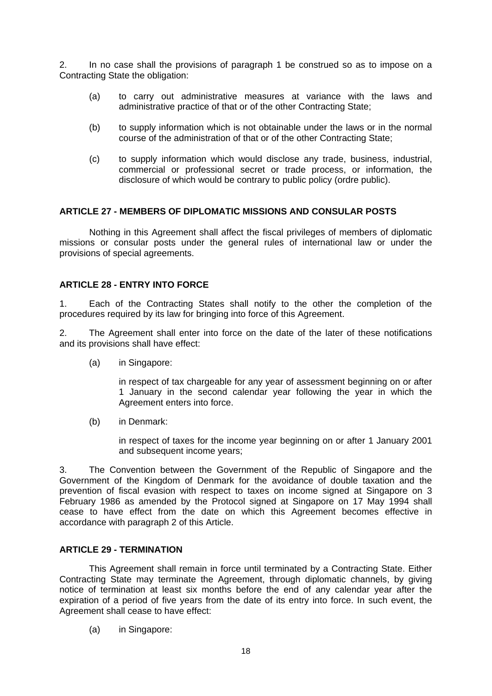2. In no case shall the provisions of paragraph 1 be construed so as to impose on a Contracting State the obligation:

- (a) to carry out administrative measures at variance with the laws and administrative practice of that or of the other Contracting State;
- (b) to supply information which is not obtainable under the laws or in the normal course of the administration of that or of the other Contracting State;
- (c) to supply information which would disclose any trade, business, industrial, commercial or professional secret or trade process, or information, the disclosure of which would be contrary to public policy (ordre public).

#### **ARTICLE 27 - MEMBERS OF DIPLOMATIC MISSIONS AND CONSULAR POSTS**

Nothing in this Agreement shall affect the fiscal privileges of members of diplomatic missions or consular posts under the general rules of international law or under the provisions of special agreements.

#### **ARTICLE 28 - ENTRY INTO FORCE**

1. Each of the Contracting States shall notify to the other the completion of the procedures required by its law for bringing into force of this Agreement.

2. The Agreement shall enter into force on the date of the later of these notifications and its provisions shall have effect:

(a) in Singapore:

in respect of tax chargeable for any year of assessment beginning on or after 1 January in the second calendar year following the year in which the Agreement enters into force.

(b) in Denmark:

in respect of taxes for the income year beginning on or after 1 January 2001 and subsequent income years;

3. The Convention between the Government of the Republic of Singapore and the Government of the Kingdom of Denmark for the avoidance of double taxation and the prevention of fiscal evasion with respect to taxes on income signed at Singapore on 3 February 1986 as amended by the Protocol signed at Singapore on 17 May 1994 shall cease to have effect from the date on which this Agreement becomes effective in accordance with paragraph 2 of this Article.

#### **ARTICLE 29 - TERMINATION**

This Agreement shall remain in force until terminated by a Contracting State. Either Contracting State may terminate the Agreement, through diplomatic channels, by giving notice of termination at least six months before the end of any calendar year after the expiration of a period of five years from the date of its entry into force. In such event, the Agreement shall cease to have effect:

(a) in Singapore: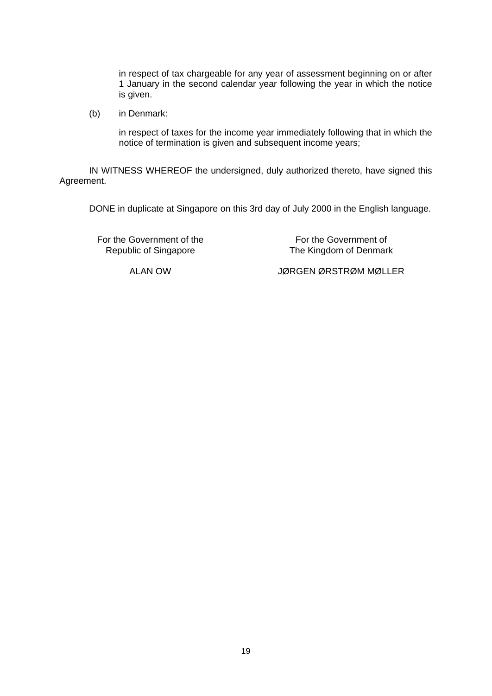in respect of tax chargeable for any year of assessment beginning on or after 1 January in the second calendar year following the year in which the notice is given.

(b) in Denmark:

in respect of taxes for the income year immediately following that in which the notice of termination is given and subsequent income years;

IN WITNESS WHEREOF the undersigned, duly authorized thereto, have signed this Agreement.

DONE in duplicate at Singapore on this 3rd day of July 2000 in the English language.

For the Government of the Republic of Singapore

For the Government of The Kingdom of Denmark

ALAN OW JØRGEN ØRSTRØM MØLLER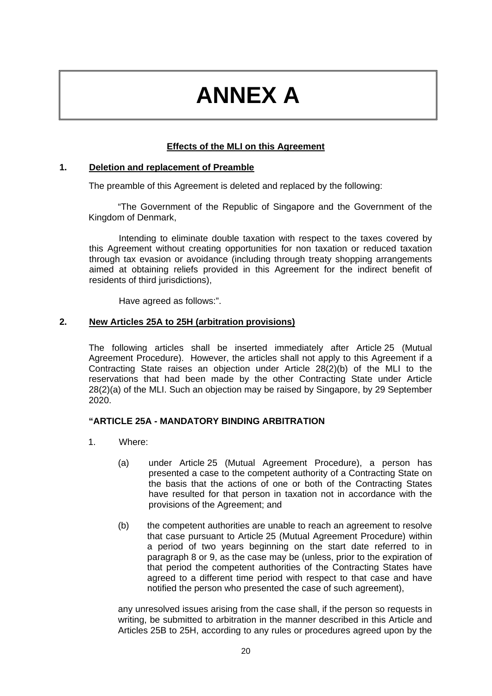# **ANNEX A**

## **Effects of the MLI on this Agreement**

#### **1. Deletion and replacement of Preamble**

The preamble of this Agreement is deleted and replaced by the following:

"The Government of the Republic of Singapore and the Government of the Kingdom of Denmark,

Intending to eliminate double taxation with respect to the taxes covered by this Agreement without creating opportunities for non taxation or reduced taxation through tax evasion or avoidance (including through treaty shopping arrangements aimed at obtaining reliefs provided in this Agreement for the indirect benefit of residents of third jurisdictions),

Have agreed as follows:".

#### **2. New Articles 25A to 25H (arbitration provisions)**

The following articles shall be inserted immediately after Article 25 (Mutual Agreement Procedure). However, the articles shall not apply to this Agreement if a Contracting State raises an objection under Article 28(2)(b) of the MLI to the reservations that had been made by the other Contracting State under Article 28(2)(a) of the MLI. Such an objection may be raised by Singapore, by 29 September 2020.

## **"ARTICLE 25A - MANDATORY BINDING ARBITRATION**

- 1. Where:
	- (a) under Article 25 (Mutual Agreement Procedure), a person has presented a case to the competent authority of a Contracting State on the basis that the actions of one or both of the Contracting States have resulted for that person in taxation not in accordance with the provisions of the Agreement; and
	- (b) the competent authorities are unable to reach an agreement to resolve that case pursuant to Article 25 (Mutual Agreement Procedure) within a period of two years beginning on the start date referred to in paragraph 8 or 9, as the case may be (unless, prior to the expiration of that period the competent authorities of the Contracting States have agreed to a different time period with respect to that case and have notified the person who presented the case of such agreement),

any unresolved issues arising from the case shall, if the person so requests in writing, be submitted to arbitration in the manner described in this Article and Articles 25B to 25H, according to any rules or procedures agreed upon by the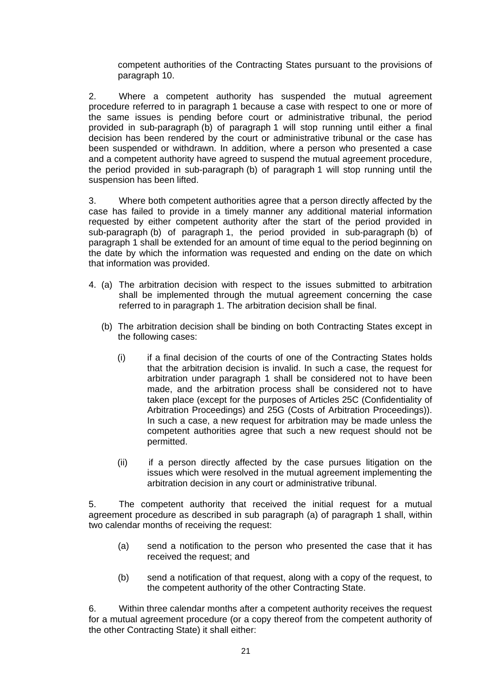competent authorities of the Contracting States pursuant to the provisions of paragraph 10.

2. Where a competent authority has suspended the mutual agreement procedure referred to in paragraph 1 because a case with respect to one or more of the same issues is pending before court or administrative tribunal, the period provided in sub-paragraph (b) of paragraph 1 will stop running until either a final decision has been rendered by the court or administrative tribunal or the case has been suspended or withdrawn. In addition, where a person who presented a case and a competent authority have agreed to suspend the mutual agreement procedure, the period provided in sub-paragraph (b) of paragraph 1 will stop running until the suspension has been lifted.

3. Where both competent authorities agree that a person directly affected by the case has failed to provide in a timely manner any additional material information requested by either competent authority after the start of the period provided in sub-paragraph (b) of paragraph 1, the period provided in sub-paragraph (b) of paragraph 1 shall be extended for an amount of time equal to the period beginning on the date by which the information was requested and ending on the date on which that information was provided.

- 4. (a) The arbitration decision with respect to the issues submitted to arbitration shall be implemented through the mutual agreement concerning the case referred to in paragraph 1. The arbitration decision shall be final.
	- (b) The arbitration decision shall be binding on both Contracting States except in the following cases:
		- (i) if a final decision of the courts of one of the Contracting States holds that the arbitration decision is invalid. In such a case, the request for arbitration under paragraph 1 shall be considered not to have been made, and the arbitration process shall be considered not to have taken place (except for the purposes of Articles 25C (Confidentiality of Arbitration Proceedings) and 25G (Costs of Arbitration Proceedings)). In such a case, a new request for arbitration may be made unless the competent authorities agree that such a new request should not be permitted.
		- (ii) if a person directly affected by the case pursues litigation on the issues which were resolved in the mutual agreement implementing the arbitration decision in any court or administrative tribunal.

5. The competent authority that received the initial request for a mutual agreement procedure as described in sub paragraph (a) of paragraph 1 shall, within two calendar months of receiving the request:

- (a) send a notification to the person who presented the case that it has received the request; and
- (b) send a notification of that request, along with a copy of the request, to the competent authority of the other Contracting State.

6. Within three calendar months after a competent authority receives the request for a mutual agreement procedure (or a copy thereof from the competent authority of the other Contracting State) it shall either: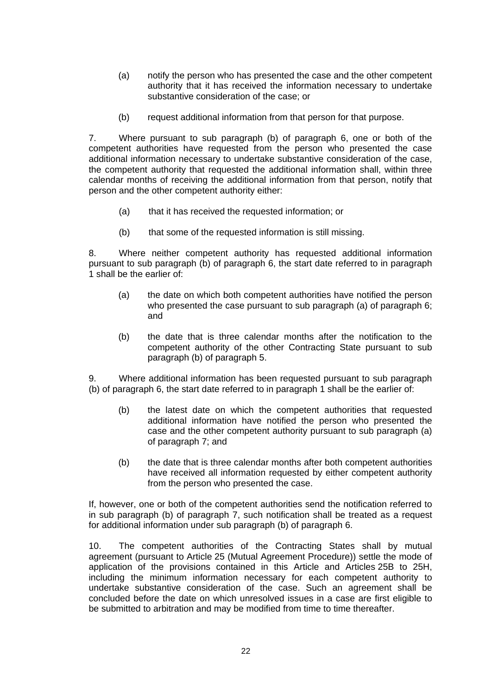- (a) notify the person who has presented the case and the other competent authority that it has received the information necessary to undertake substantive consideration of the case; or
- (b) request additional information from that person for that purpose.

7. Where pursuant to sub paragraph (b) of paragraph 6, one or both of the competent authorities have requested from the person who presented the case additional information necessary to undertake substantive consideration of the case, the competent authority that requested the additional information shall, within three calendar months of receiving the additional information from that person, notify that person and the other competent authority either:

- (a) that it has received the requested information; or
- (b) that some of the requested information is still missing.

8. Where neither competent authority has requested additional information pursuant to sub paragraph (b) of paragraph 6, the start date referred to in paragraph 1 shall be the earlier of:

- (a) the date on which both competent authorities have notified the person who presented the case pursuant to sub paragraph (a) of paragraph 6; and
- (b) the date that is three calendar months after the notification to the competent authority of the other Contracting State pursuant to sub paragraph (b) of paragraph 5.

9. Where additional information has been requested pursuant to sub paragraph (b) of paragraph 6, the start date referred to in paragraph 1 shall be the earlier of:

- (b) the latest date on which the competent authorities that requested additional information have notified the person who presented the case and the other competent authority pursuant to sub paragraph (a) of paragraph 7; and
- (b) the date that is three calendar months after both competent authorities have received all information requested by either competent authority from the person who presented the case.

If, however, one or both of the competent authorities send the notification referred to in sub paragraph (b) of paragraph 7, such notification shall be treated as a request for additional information under sub paragraph (b) of paragraph 6.

10. The competent authorities of the Contracting States shall by mutual agreement (pursuant to Article 25 (Mutual Agreement Procedure)) settle the mode of application of the provisions contained in this Article and Articles 25B to 25H, including the minimum information necessary for each competent authority to undertake substantive consideration of the case. Such an agreement shall be concluded before the date on which unresolved issues in a case are first eligible to be submitted to arbitration and may be modified from time to time thereafter.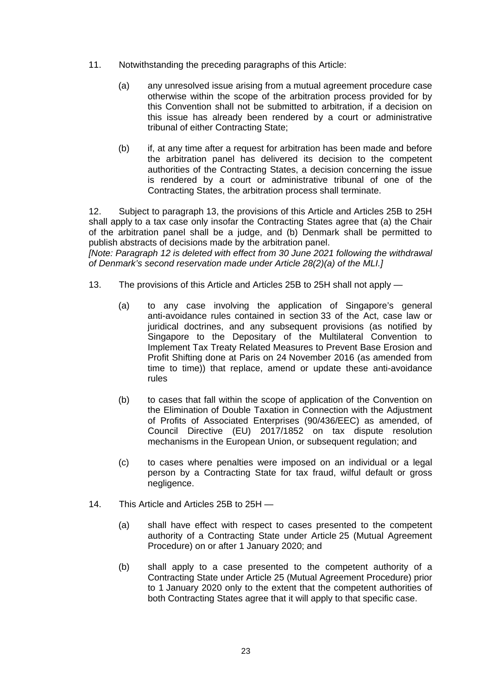- 11. Notwithstanding the preceding paragraphs of this Article:
	- (a) any unresolved issue arising from a mutual agreement procedure case otherwise within the scope of the arbitration process provided for by this Convention shall not be submitted to arbitration, if a decision on this issue has already been rendered by a court or administrative tribunal of either Contracting State;
	- (b) if, at any time after a request for arbitration has been made and before the arbitration panel has delivered its decision to the competent authorities of the Contracting States, a decision concerning the issue is rendered by a court or administrative tribunal of one of the Contracting States, the arbitration process shall terminate.

12. Subject to paragraph 13, the provisions of this Article and Articles 25B to 25H shall apply to a tax case only insofar the Contracting States agree that (a) the Chair of the arbitration panel shall be a judge, and (b) Denmark shall be permitted to publish abstracts of decisions made by the arbitration panel.

*[Note: Paragraph 12 is deleted with effect from 30 June 2021 following the withdrawal of Denmark's second reservation made under Article 28(2)(a) of the MLI.]*

- 13. The provisions of this Article and Articles 25B to 25H shall not apply
	- (a) to any case involving the application of Singapore's general anti-avoidance rules contained in section 33 of the Act, case law or juridical doctrines, and any subsequent provisions (as notified by Singapore to the Depositary of the Multilateral Convention to Implement Tax Treaty Related Measures to Prevent Base Erosion and Profit Shifting done at Paris on 24 November 2016 (as amended from time to time)) that replace, amend or update these anti-avoidance rules
	- (b) to cases that fall within the scope of application of the Convention on the Elimination of Double Taxation in Connection with the Adjustment of Profits of Associated Enterprises (90/436/EEC) as amended, of Council Directive (EU) 2017/1852 on tax dispute resolution mechanisms in the European Union, or subsequent regulation; and
	- (c) to cases where penalties were imposed on an individual or a legal person by a Contracting State for tax fraud, wilful default or gross negligence.
- 14. This Article and Articles 25B to 25H
	- (a) shall have effect with respect to cases presented to the competent authority of a Contracting State under Article 25 (Mutual Agreement Procedure) on or after 1 January 2020; and
	- (b) shall apply to a case presented to the competent authority of a Contracting State under Article 25 (Mutual Agreement Procedure) prior to 1 January 2020 only to the extent that the competent authorities of both Contracting States agree that it will apply to that specific case.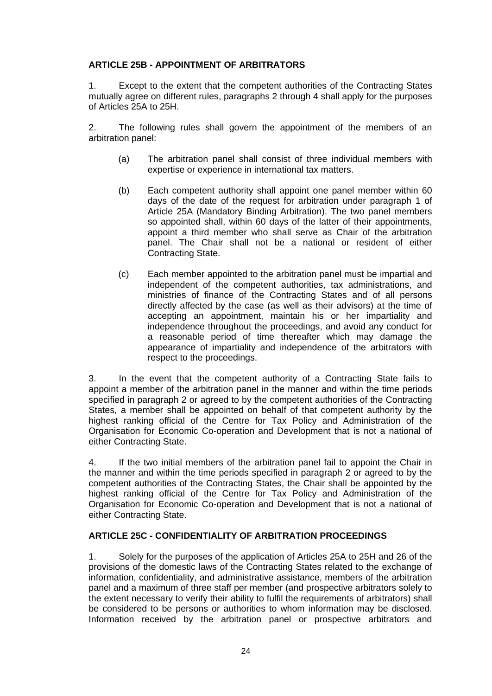## **ARTICLE 25B - APPOINTMENT OF ARBITRATORS**

1. Except to the extent that the competent authorities of the Contracting States mutually agree on different rules, paragraphs 2 through 4 shall apply for the purposes of Articles 25A to 25H.

2. The following rules shall govern the appointment of the members of an arbitration panel:

- (a) The arbitration panel shall consist of three individual members with expertise or experience in international tax matters.
- (b) Each competent authority shall appoint one panel member within 60 days of the date of the request for arbitration under paragraph 1 of Article 25A (Mandatory Binding Arbitration). The two panel members so appointed shall, within 60 days of the latter of their appointments, appoint a third member who shall serve as Chair of the arbitration panel. The Chair shall not be a national or resident of either Contracting State.
- (c) Each member appointed to the arbitration panel must be impartial and independent of the competent authorities, tax administrations, and ministries of finance of the Contracting States and of all persons directly affected by the case (as well as their advisors) at the time of accepting an appointment, maintain his or her impartiality and independence throughout the proceedings, and avoid any conduct for a reasonable period of time thereafter which may damage the appearance of impartiality and independence of the arbitrators with respect to the proceedings.

3. In the event that the competent authority of a Contracting State fails to appoint a member of the arbitration panel in the manner and within the time periods specified in paragraph 2 or agreed to by the competent authorities of the Contracting States, a member shall be appointed on behalf of that competent authority by the highest ranking official of the Centre for Tax Policy and Administration of the Organisation for Economic Co-operation and Development that is not a national of either Contracting State.

4. If the two initial members of the arbitration panel fail to appoint the Chair in the manner and within the time periods specified in paragraph 2 or agreed to by the competent authorities of the Contracting States, the Chair shall be appointed by the highest ranking official of the Centre for Tax Policy and Administration of the Organisation for Economic Co-operation and Development that is not a national of either Contracting State.

## **ARTICLE 25C - CONFIDENTIALITY OF ARBITRATION PROCEEDINGS**

1. Solely for the purposes of the application of Articles 25A to 25H and 26 of the provisions of the domestic laws of the Contracting States related to the exchange of information, confidentiality, and administrative assistance, members of the arbitration panel and a maximum of three staff per member (and prospective arbitrators solely to the extent necessary to verify their ability to fulfil the requirements of arbitrators) shall be considered to be persons or authorities to whom information may be disclosed. Information received by the arbitration panel or prospective arbitrators and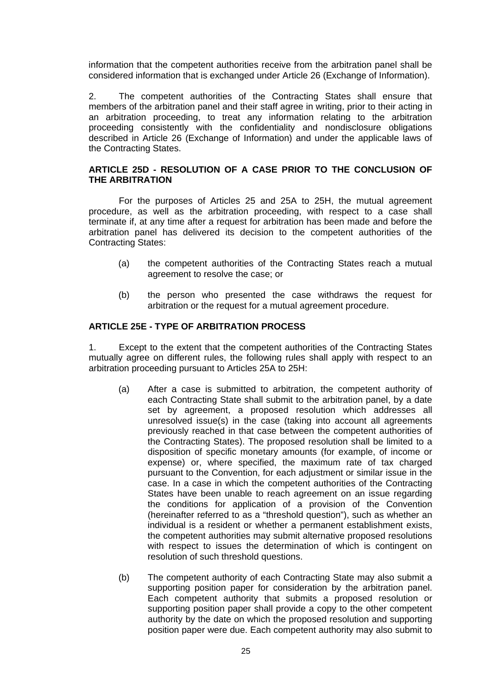information that the competent authorities receive from the arbitration panel shall be considered information that is exchanged under Article 26 (Exchange of Information).

2. The competent authorities of the Contracting States shall ensure that members of the arbitration panel and their staff agree in writing, prior to their acting in an arbitration proceeding, to treat any information relating to the arbitration proceeding consistently with the confidentiality and nondisclosure obligations described in Article 26 (Exchange of Information) and under the applicable laws of the Contracting States.

#### **ARTICLE 25D - RESOLUTION OF A CASE PRIOR TO THE CONCLUSION OF THE ARBITRATION**

For the purposes of Articles 25 and 25A to 25H, the mutual agreement procedure, as well as the arbitration proceeding, with respect to a case shall terminate if, at any time after a request for arbitration has been made and before the arbitration panel has delivered its decision to the competent authorities of the Contracting States:

- (a) the competent authorities of the Contracting States reach a mutual agreement to resolve the case; or
- (b) the person who presented the case withdraws the request for arbitration or the request for a mutual agreement procedure.

#### **ARTICLE 25E - TYPE OF ARBITRATION PROCESS**

1. Except to the extent that the competent authorities of the Contracting States mutually agree on different rules, the following rules shall apply with respect to an arbitration proceeding pursuant to Articles 25A to 25H:

- (a) After a case is submitted to arbitration, the competent authority of each Contracting State shall submit to the arbitration panel, by a date set by agreement, a proposed resolution which addresses all unresolved issue(s) in the case (taking into account all agreements previously reached in that case between the competent authorities of the Contracting States). The proposed resolution shall be limited to a disposition of specific monetary amounts (for example, of income or expense) or, where specified, the maximum rate of tax charged pursuant to the Convention, for each adjustment or similar issue in the case. In a case in which the competent authorities of the Contracting States have been unable to reach agreement on an issue regarding the conditions for application of a provision of the Convention (hereinafter referred to as a "threshold question"), such as whether an individual is a resident or whether a permanent establishment exists, the competent authorities may submit alternative proposed resolutions with respect to issues the determination of which is contingent on resolution of such threshold questions.
- (b) The competent authority of each Contracting State may also submit a supporting position paper for consideration by the arbitration panel. Each competent authority that submits a proposed resolution or supporting position paper shall provide a copy to the other competent authority by the date on which the proposed resolution and supporting position paper were due. Each competent authority may also submit to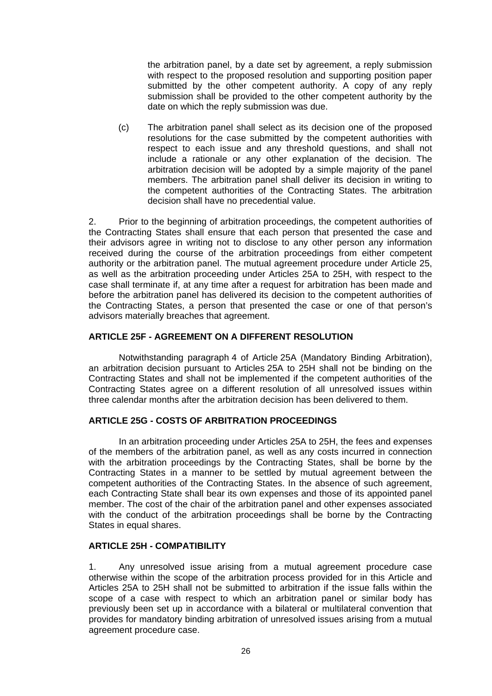the arbitration panel, by a date set by agreement, a reply submission with respect to the proposed resolution and supporting position paper submitted by the other competent authority. A copy of any reply submission shall be provided to the other competent authority by the date on which the reply submission was due.

(c) The arbitration panel shall select as its decision one of the proposed resolutions for the case submitted by the competent authorities with respect to each issue and any threshold questions, and shall not include a rationale or any other explanation of the decision. The arbitration decision will be adopted by a simple majority of the panel members. The arbitration panel shall deliver its decision in writing to the competent authorities of the Contracting States. The arbitration decision shall have no precedential value.

2. Prior to the beginning of arbitration proceedings, the competent authorities of the Contracting States shall ensure that each person that presented the case and their advisors agree in writing not to disclose to any other person any information received during the course of the arbitration proceedings from either competent authority or the arbitration panel. The mutual agreement procedure under Article 25, as well as the arbitration proceeding under Articles 25A to 25H, with respect to the case shall terminate if, at any time after a request for arbitration has been made and before the arbitration panel has delivered its decision to the competent authorities of the Contracting States, a person that presented the case or one of that person's advisors materially breaches that agreement.

## **ARTICLE 25F - AGREEMENT ON A DIFFERENT RESOLUTION**

Notwithstanding paragraph 4 of Article 25A (Mandatory Binding Arbitration), an arbitration decision pursuant to Articles 25A to 25H shall not be binding on the Contracting States and shall not be implemented if the competent authorities of the Contracting States agree on a different resolution of all unresolved issues within three calendar months after the arbitration decision has been delivered to them.

## **ARTICLE 25G - COSTS OF ARBITRATION PROCEEDINGS**

In an arbitration proceeding under Articles 25A to 25H, the fees and expenses of the members of the arbitration panel, as well as any costs incurred in connection with the arbitration proceedings by the Contracting States, shall be borne by the Contracting States in a manner to be settled by mutual agreement between the competent authorities of the Contracting States. In the absence of such agreement, each Contracting State shall bear its own expenses and those of its appointed panel member. The cost of the chair of the arbitration panel and other expenses associated with the conduct of the arbitration proceedings shall be borne by the Contracting States in equal shares.

## **ARTICLE 25H - COMPATIBILITY**

1. Any unresolved issue arising from a mutual agreement procedure case otherwise within the scope of the arbitration process provided for in this Article and Articles 25A to 25H shall not be submitted to arbitration if the issue falls within the scope of a case with respect to which an arbitration panel or similar body has previously been set up in accordance with a bilateral or multilateral convention that provides for mandatory binding arbitration of unresolved issues arising from a mutual agreement procedure case.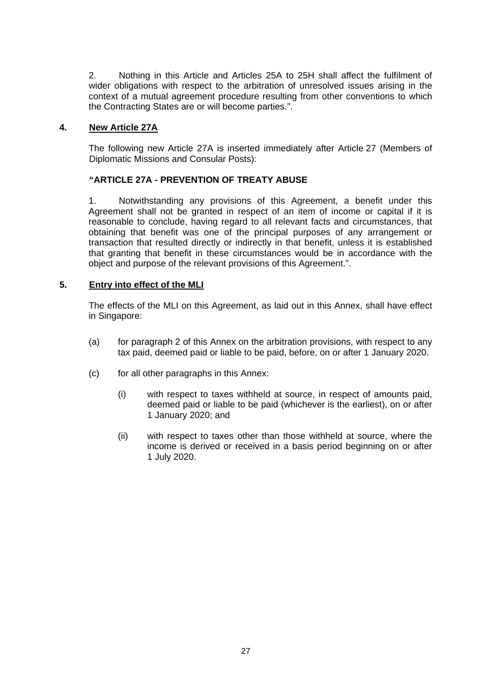2. Nothing in this Article and Articles 25A to 25H shall affect the fulfilment of wider obligations with respect to the arbitration of unresolved issues arising in the context of a mutual agreement procedure resulting from other conventions to which the Contracting States are or will become parties.".

## **4. New Article 27A**

The following new Article 27A is inserted immediately after Article 27 (Members of Diplomatic Missions and Consular Posts):

## **"ARTICLE 27A - PREVENTION OF TREATY ABUSE**

1. Notwithstanding any provisions of this Agreement, a benefit under this Agreement shall not be granted in respect of an item of income or capital if it is reasonable to conclude, having regard to all relevant facts and circumstances, that obtaining that benefit was one of the principal purposes of any arrangement or transaction that resulted directly or indirectly in that benefit, unless it is established that granting that benefit in these circumstances would be in accordance with the object and purpose of the relevant provisions of this Agreement.".

## **5. Entry into effect of the MLI**

The effects of the MLI on this Agreement, as laid out in this Annex, shall have effect in Singapore:

- (a) for paragraph 2 of this Annex on the arbitration provisions, with respect to any tax paid, deemed paid or liable to be paid, before, on or after 1 January 2020.
- (c) for all other paragraphs in this Annex:
	- (i) with respect to taxes withheld at source, in respect of amounts paid, deemed paid or liable to be paid (whichever is the earliest), on or after 1 January 2020; and
	- (ii) with respect to taxes other than those withheld at source, where the income is derived or received in a basis period beginning on or after 1 July 2020.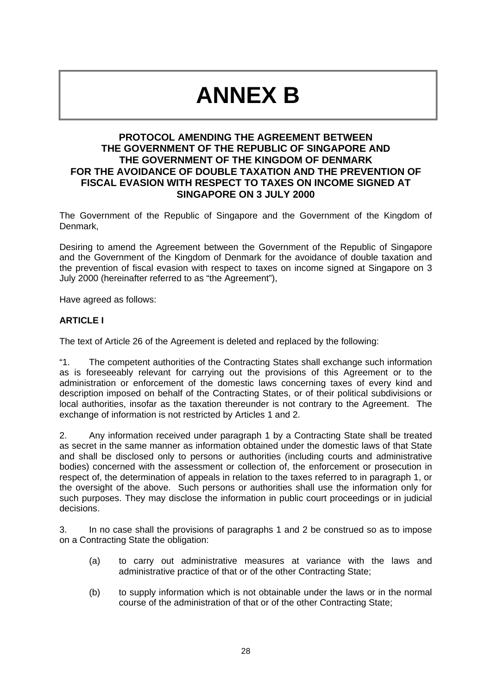# **ANNEX B**

## **PROTOCOL AMENDING THE AGREEMENT BETWEEN THE GOVERNMENT OF THE REPUBLIC OF SINGAPORE AND THE GOVERNMENT OF THE KINGDOM OF DENMARK FOR THE AVOIDANCE OF DOUBLE TAXATION AND THE PREVENTION OF FISCAL EVASION WITH RESPECT TO TAXES ON INCOME SIGNED AT SINGAPORE ON 3 JULY 2000**

The Government of the Republic of Singapore and the Government of the Kingdom of Denmark,

Desiring to amend the Agreement between the Government of the Republic of Singapore and the Government of the Kingdom of Denmark for the avoidance of double taxation and the prevention of fiscal evasion with respect to taxes on income signed at Singapore on 3 July 2000 (hereinafter referred to as "the Agreement"),

Have agreed as follows:

## **ARTICLE I**

The text of Article 26 of the Agreement is deleted and replaced by the following:

"1. The competent authorities of the Contracting States shall exchange such information as is foreseeably relevant for carrying out the provisions of this Agreement or to the administration or enforcement of the domestic laws concerning taxes of every kind and description imposed on behalf of the Contracting States, or of their political subdivisions or local authorities, insofar as the taxation thereunder is not contrary to the Agreement. The exchange of information is not restricted by Articles 1 and 2.

2. Any information received under paragraph 1 by a Contracting State shall be treated as secret in the same manner as information obtained under the domestic laws of that State and shall be disclosed only to persons or authorities (including courts and administrative bodies) concerned with the assessment or collection of, the enforcement or prosecution in respect of, the determination of appeals in relation to the taxes referred to in paragraph 1, or the oversight of the above. Such persons or authorities shall use the information only for such purposes. They may disclose the information in public court proceedings or in judicial decisions.

3. In no case shall the provisions of paragraphs 1 and 2 be construed so as to impose on a Contracting State the obligation:

- (a) to carry out administrative measures at variance with the laws and administrative practice of that or of the other Contracting State;
- (b) to supply information which is not obtainable under the laws or in the normal course of the administration of that or of the other Contracting State;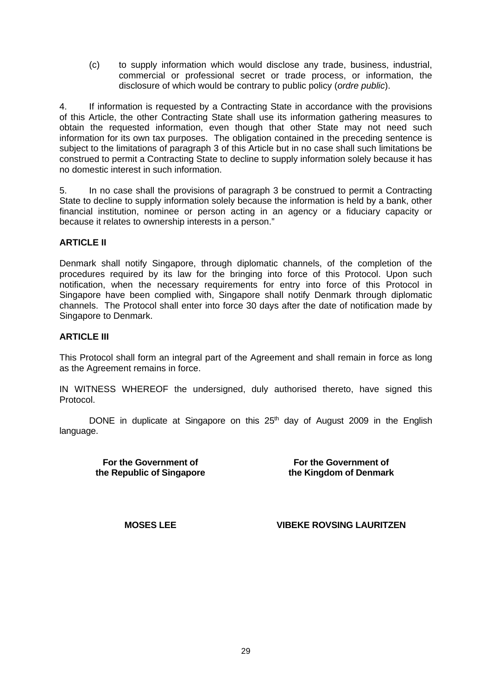(c) to supply information which would disclose any trade, business, industrial, commercial or professional secret or trade process, or information, the disclosure of which would be contrary to public policy (*ordre public*).

4. If information is requested by a Contracting State in accordance with the provisions of this Article, the other Contracting State shall use its information gathering measures to obtain the requested information, even though that other State may not need such information for its own tax purposes. The obligation contained in the preceding sentence is subject to the limitations of paragraph 3 of this Article but in no case shall such limitations be construed to permit a Contracting State to decline to supply information solely because it has no domestic interest in such information.

5. In no case shall the provisions of paragraph 3 be construed to permit a Contracting State to decline to supply information solely because the information is held by a bank, other financial institution, nominee or person acting in an agency or a fiduciary capacity or because it relates to ownership interests in a person."

## **ARTICLE II**

Denmark shall notify Singapore, through diplomatic channels, of the completion of the procedures required by its law for the bringing into force of this Protocol. Upon such notification, when the necessary requirements for entry into force of this Protocol in Singapore have been complied with, Singapore shall notify Denmark through diplomatic channels. The Protocol shall enter into force 30 days after the date of notification made by Singapore to Denmark.

## **ARTICLE III**

This Protocol shall form an integral part of the Agreement and shall remain in force as long as the Agreement remains in force.

IN WITNESS WHEREOF the undersigned, duly authorised thereto, have signed this Protocol.

DONE in duplicate at Singapore on this  $25<sup>th</sup>$  day of August 2009 in the English language.

**For the Government of the Republic of Singapore**

**For the Government of the Kingdom of Denmark**

**MOSES LEE**

**VIBEKE ROVSING LAURITZEN**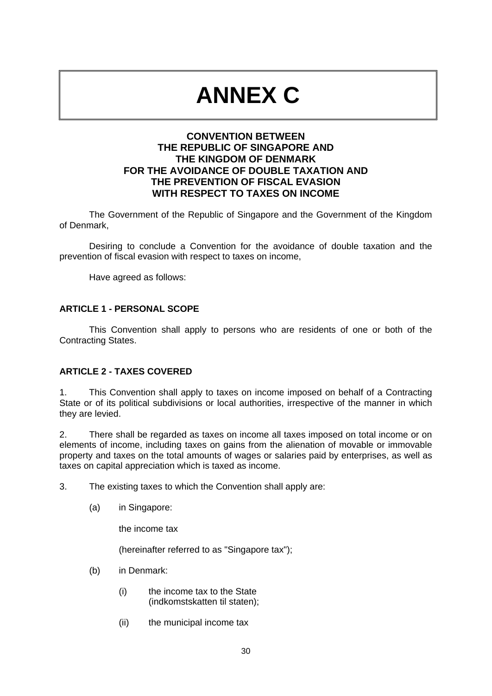# **ANNEX C**

## **CONVENTION BETWEEN THE REPUBLIC OF SINGAPORE AND THE KINGDOM OF DENMARK FOR THE AVOIDANCE OF DOUBLE TAXATION AND THE PREVENTION OF FISCAL EVASION WITH RESPECT TO TAXES ON INCOME**

The Government of the Republic of Singapore and the Government of the Kingdom of Denmark,

Desiring to conclude a Convention for the avoidance of double taxation and the prevention of fiscal evasion with respect to taxes on income,

Have agreed as follows:

## **ARTICLE 1 - PERSONAL SCOPE**

This Convention shall apply to persons who are residents of one or both of the Contracting States.

## **ARTICLE 2 - TAXES COVERED**

1. This Convention shall apply to taxes on income imposed on behalf of a Contracting State or of its political subdivisions or local authorities, irrespective of the manner in which they are levied.

2. There shall be regarded as taxes on income all taxes imposed on total income or on elements of income, including taxes on gains from the alienation of movable or immovable property and taxes on the total amounts of wages or salaries paid by enterprises, as well as taxes on capital appreciation which is taxed as income.

3. The existing taxes to which the Convention shall apply are:

(a) in Singapore:

the income tax

(hereinafter referred to as "Singapore tax");

- (b) in Denmark:
	- (i) the income tax to the State (indkomstskatten til staten);
	- (ii) the municipal income tax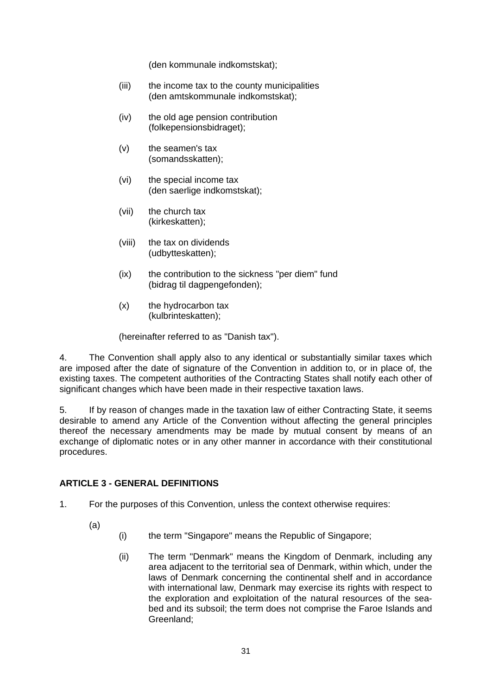(den kommunale indkomstskat);

- (iii) the income tax to the county municipalities (den amtskommunale indkomstskat);
- (iv) the old age pension contribution (folkepensionsbidraget);
- (v) the seamen's tax (somandsskatten);
- (vi) the special income tax (den saerlige indkomstskat);
- (vii) the church tax (kirkeskatten);
- (viii) the tax on dividends (udbytteskatten);
- (ix) the contribution to the sickness "per diem" fund (bidrag til dagpengefonden);
- $(x)$  the hydrocarbon tax (kulbrinteskatten);

(hereinafter referred to as "Danish tax").

4. The Convention shall apply also to any identical or substantially similar taxes which are imposed after the date of signature of the Convention in addition to, or in place of, the existing taxes. The competent authorities of the Contracting States shall notify each other of significant changes which have been made in their respective taxation laws.

5. If by reason of changes made in the taxation law of either Contracting State, it seems desirable to amend any Article of the Convention without affecting the general principles thereof the necessary amendments may be made by mutual consent by means of an exchange of diplomatic notes or in any other manner in accordance with their constitutional procedures.

# **ARTICLE 3 - GENERAL DEFINITIONS**

- 1. For the purposes of this Convention, unless the context otherwise requires:
	- (a)
- (i) the term "Singapore" means the Republic of Singapore;
- (ii) The term "Denmark" means the Kingdom of Denmark, including any area adjacent to the territorial sea of Denmark, within which, under the laws of Denmark concerning the continental shelf and in accordance with international law, Denmark may exercise its rights with respect to the exploration and exploitation of the natural resources of the seabed and its subsoil; the term does not comprise the Faroe Islands and Greenland;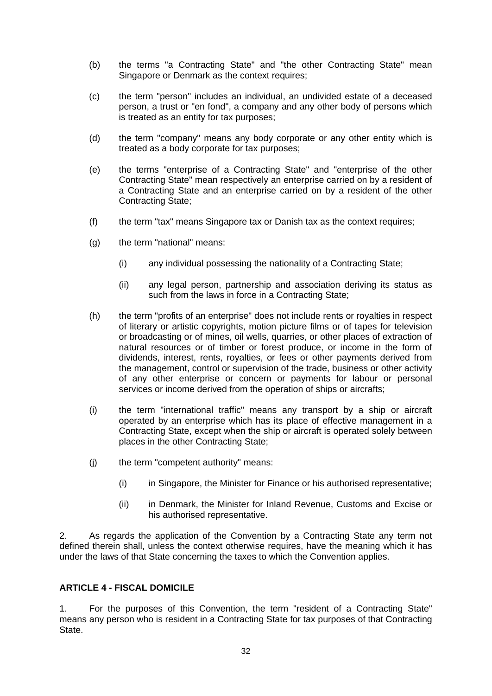- (b) the terms "a Contracting State" and "the other Contracting State" mean Singapore or Denmark as the context requires;
- (c) the term "person" includes an individual, an undivided estate of a deceased person, a trust or "en fond", a company and any other body of persons which is treated as an entity for tax purposes;
- (d) the term "company" means any body corporate or any other entity which is treated as a body corporate for tax purposes;
- (e) the terms "enterprise of a Contracting State" and "enterprise of the other Contracting State" mean respectively an enterprise carried on by a resident of a Contracting State and an enterprise carried on by a resident of the other Contracting State;
- (f) the term "tax" means Singapore tax or Danish tax as the context requires;
- (g) the term "national" means:
	- (i) any individual possessing the nationality of a Contracting State;
	- (ii) any legal person, partnership and association deriving its status as such from the laws in force in a Contracting State;
- (h) the term "profits of an enterprise" does not include rents or royalties in respect of literary or artistic copyrights, motion picture films or of tapes for television or broadcasting or of mines, oil wells, quarries, or other places of extraction of natural resources or of timber or forest produce, or income in the form of dividends, interest, rents, royalties, or fees or other payments derived from the management, control or supervision of the trade, business or other activity of any other enterprise or concern or payments for labour or personal services or income derived from the operation of ships or aircrafts;
- (i) the term "international traffic" means any transport by a ship or aircraft operated by an enterprise which has its place of effective management in a Contracting State, except when the ship or aircraft is operated solely between places in the other Contracting State;
- (j) the term "competent authority" means:
	- (i) in Singapore, the Minister for Finance or his authorised representative;
	- (ii) in Denmark, the Minister for Inland Revenue, Customs and Excise or his authorised representative.

2. As regards the application of the Convention by a Contracting State any term not defined therein shall, unless the context otherwise requires, have the meaning which it has under the laws of that State concerning the taxes to which the Convention applies.

## **ARTICLE 4 - FISCAL DOMICILE**

1. For the purposes of this Convention, the term "resident of a Contracting State" means any person who is resident in a Contracting State for tax purposes of that Contracting State.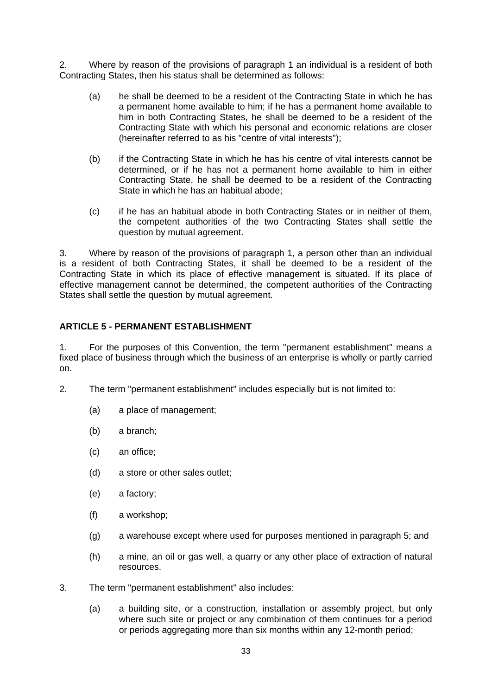2. Where by reason of the provisions of paragraph 1 an individual is a resident of both Contracting States, then his status shall be determined as follows:

- (a) he shall be deemed to be a resident of the Contracting State in which he has a permanent home available to him; if he has a permanent home available to him in both Contracting States, he shall be deemed to be a resident of the Contracting State with which his personal and economic relations are closer (hereinafter referred to as his "centre of vital interests");
- (b) if the Contracting State in which he has his centre of vital interests cannot be determined, or if he has not a permanent home available to him in either Contracting State, he shall be deemed to be a resident of the Contracting State in which he has an habitual abode;
- (c) if he has an habitual abode in both Contracting States or in neither of them, the competent authorities of the two Contracting States shall settle the question by mutual agreement.

3. Where by reason of the provisions of paragraph 1, a person other than an individual is a resident of both Contracting States, it shall be deemed to be a resident of the Contracting State in which its place of effective management is situated. If its place of effective management cannot be determined, the competent authorities of the Contracting States shall settle the question by mutual agreement.

# **ARTICLE 5 - PERMANENT ESTABLISHMENT**

1. For the purposes of this Convention, the term "permanent establishment" means a fixed place of business through which the business of an enterprise is wholly or partly carried on.

- 2. The term "permanent establishment" includes especially but is not limited to:
	- (a) a place of management;
	- (b) a branch;
	- (c) an office;
	- (d) a store or other sales outlet;
	- (e) a factory;
	- (f) a workshop;
	- (g) a warehouse except where used for purposes mentioned in paragraph 5; and
	- (h) a mine, an oil or gas well, a quarry or any other place of extraction of natural resources.
- 3. The term "permanent establishment" also includes:
	- (a) a building site, or a construction, installation or assembly project, but only where such site or project or any combination of them continues for a period or periods aggregating more than six months within any 12-month period;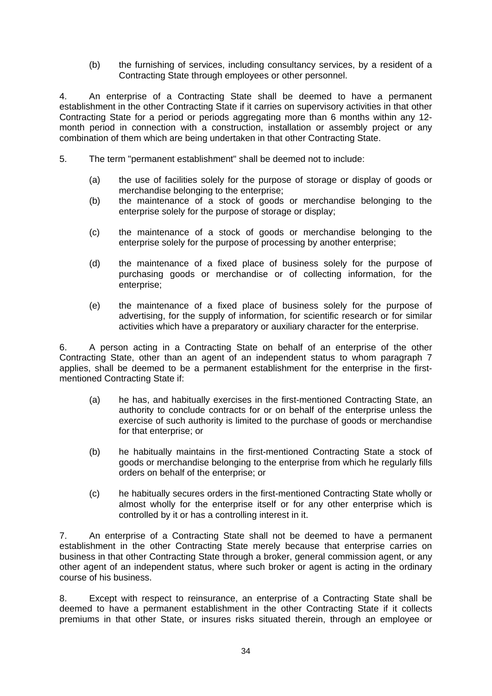(b) the furnishing of services, including consultancy services, by a resident of a Contracting State through employees or other personnel.

4. An enterprise of a Contracting State shall be deemed to have a permanent establishment in the other Contracting State if it carries on supervisory activities in that other Contracting State for a period or periods aggregating more than 6 months within any 12 month period in connection with a construction, installation or assembly project or any combination of them which are being undertaken in that other Contracting State.

- 5. The term "permanent establishment" shall be deemed not to include:
	- (a) the use of facilities solely for the purpose of storage or display of goods or merchandise belonging to the enterprise;
	- (b) the maintenance of a stock of goods or merchandise belonging to the enterprise solely for the purpose of storage or display;
	- (c) the maintenance of a stock of goods or merchandise belonging to the enterprise solely for the purpose of processing by another enterprise;
	- (d) the maintenance of a fixed place of business solely for the purpose of purchasing goods or merchandise or of collecting information, for the enterprise;
	- (e) the maintenance of a fixed place of business solely for the purpose of advertising, for the supply of information, for scientific research or for similar activities which have a preparatory or auxiliary character for the enterprise.

6. A person acting in a Contracting State on behalf of an enterprise of the other Contracting State, other than an agent of an independent status to whom paragraph 7 applies, shall be deemed to be a permanent establishment for the enterprise in the firstmentioned Contracting State if:

- (a) he has, and habitually exercises in the first-mentioned Contracting State, an authority to conclude contracts for or on behalf of the enterprise unless the exercise of such authority is limited to the purchase of goods or merchandise for that enterprise; or
- (b) he habitually maintains in the first-mentioned Contracting State a stock of goods or merchandise belonging to the enterprise from which he regularly fills orders on behalf of the enterprise; or
- (c) he habitually secures orders in the first-mentioned Contracting State wholly or almost wholly for the enterprise itself or for any other enterprise which is controlled by it or has a controlling interest in it.

7. An enterprise of a Contracting State shall not be deemed to have a permanent establishment in the other Contracting State merely because that enterprise carries on business in that other Contracting State through a broker, general commission agent, or any other agent of an independent status, where such broker or agent is acting in the ordinary course of his business.

8. Except with respect to reinsurance, an enterprise of a Contracting State shall be deemed to have a permanent establishment in the other Contracting State if it collects premiums in that other State, or insures risks situated therein, through an employee or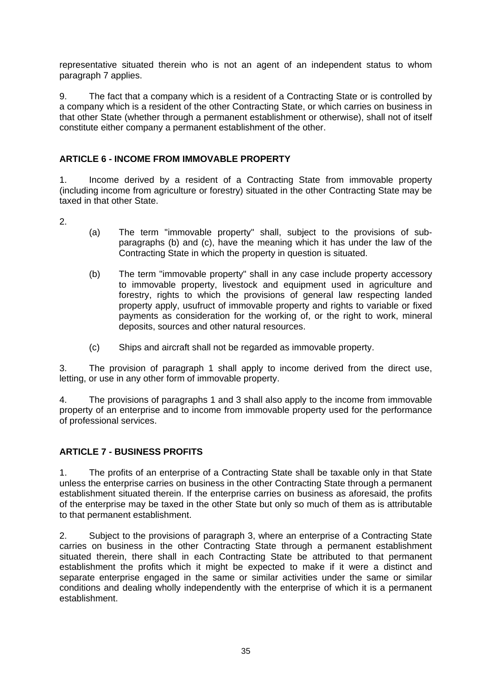representative situated therein who is not an agent of an independent status to whom paragraph 7 applies.

9. The fact that a company which is a resident of a Contracting State or is controlled by a company which is a resident of the other Contracting State, or which carries on business in that other State (whether through a permanent establishment or otherwise), shall not of itself constitute either company a permanent establishment of the other.

## **ARTICLE 6 - INCOME FROM IMMOVABLE PROPERTY**

1. Income derived by a resident of a Contracting State from immovable property (including income from agriculture or forestry) situated in the other Contracting State may be taxed in that other State.

2.

- (a) The term "immovable property" shall, subject to the provisions of subparagraphs (b) and (c), have the meaning which it has under the law of the Contracting State in which the property in question is situated.
- (b) The term "immovable property" shall in any case include property accessory to immovable property, livestock and equipment used in agriculture and forestry, rights to which the provisions of general law respecting landed property apply, usufruct of immovable property and rights to variable or fixed payments as consideration for the working of, or the right to work, mineral deposits, sources and other natural resources.
- (c) Ships and aircraft shall not be regarded as immovable property.

3. The provision of paragraph 1 shall apply to income derived from the direct use, letting, or use in any other form of immovable property.

4. The provisions of paragraphs 1 and 3 shall also apply to the income from immovable property of an enterprise and to income from immovable property used for the performance of professional services.

# **ARTICLE 7 - BUSINESS PROFITS**

1. The profits of an enterprise of a Contracting State shall be taxable only in that State unless the enterprise carries on business in the other Contracting State through a permanent establishment situated therein. If the enterprise carries on business as aforesaid, the profits of the enterprise may be taxed in the other State but only so much of them as is attributable to that permanent establishment.

2. Subject to the provisions of paragraph 3, where an enterprise of a Contracting State carries on business in the other Contracting State through a permanent establishment situated therein, there shall in each Contracting State be attributed to that permanent establishment the profits which it might be expected to make if it were a distinct and separate enterprise engaged in the same or similar activities under the same or similar conditions and dealing wholly independently with the enterprise of which it is a permanent establishment.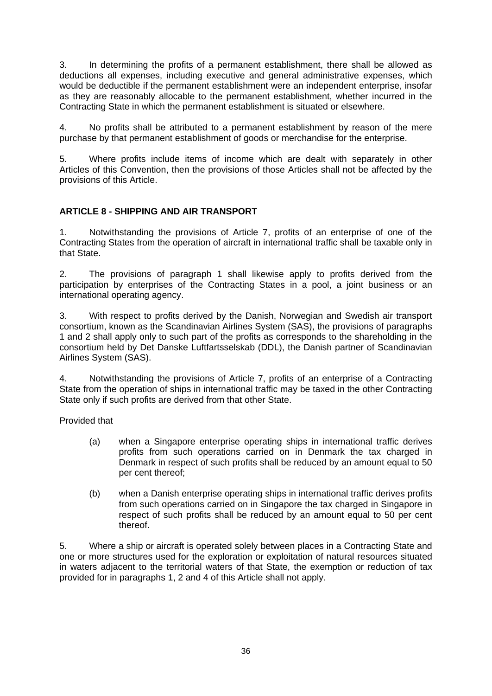3. In determining the profits of a permanent establishment, there shall be allowed as deductions all expenses, including executive and general administrative expenses, which would be deductible if the permanent establishment were an independent enterprise, insofar as they are reasonably allocable to the permanent establishment, whether incurred in the Contracting State in which the permanent establishment is situated or elsewhere.

4. No profits shall be attributed to a permanent establishment by reason of the mere purchase by that permanent establishment of goods or merchandise for the enterprise.

5. Where profits include items of income which are dealt with separately in other Articles of this Convention, then the provisions of those Articles shall not be affected by the provisions of this Article.

# **ARTICLE 8 - SHIPPING AND AIR TRANSPORT**

1. Notwithstanding the provisions of Article 7, profits of an enterprise of one of the Contracting States from the operation of aircraft in international traffic shall be taxable only in that State.

2. The provisions of paragraph 1 shall likewise apply to profits derived from the participation by enterprises of the Contracting States in a pool, a joint business or an international operating agency.

3. With respect to profits derived by the Danish, Norwegian and Swedish air transport consortium, known as the Scandinavian Airlines System (SAS), the provisions of paragraphs 1 and 2 shall apply only to such part of the profits as corresponds to the shareholding in the consortium held by Det Danske Luftfartsselskab (DDL), the Danish partner of Scandinavian Airlines System (SAS).

4. Notwithstanding the provisions of Article 7, profits of an enterprise of a Contracting State from the operation of ships in international traffic may be taxed in the other Contracting State only if such profits are derived from that other State.

Provided that

- (a) when a Singapore enterprise operating ships in international traffic derives profits from such operations carried on in Denmark the tax charged in Denmark in respect of such profits shall be reduced by an amount equal to 50 per cent thereof;
- (b) when a Danish enterprise operating ships in international traffic derives profits from such operations carried on in Singapore the tax charged in Singapore in respect of such profits shall be reduced by an amount equal to 50 per cent thereof.

5. Where a ship or aircraft is operated solely between places in a Contracting State and one or more structures used for the exploration or exploitation of natural resources situated in waters adjacent to the territorial waters of that State, the exemption or reduction of tax provided for in paragraphs 1, 2 and 4 of this Article shall not apply.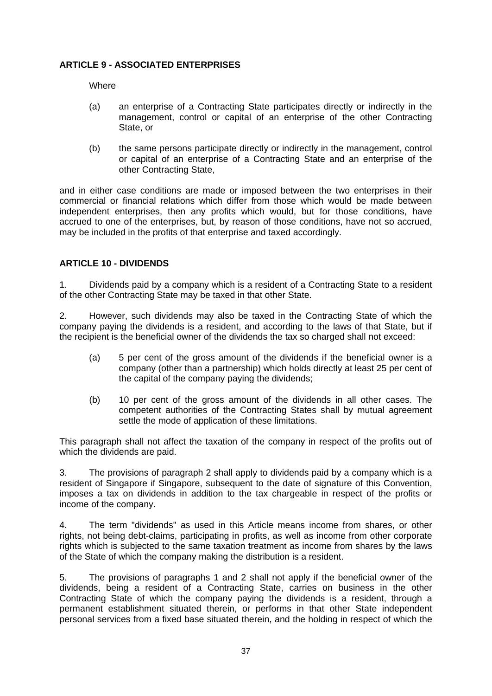## **ARTICLE 9 - ASSOCIATED ENTERPRISES**

Where

- (a) an enterprise of a Contracting State participates directly or indirectly in the management, control or capital of an enterprise of the other Contracting State, or
- (b) the same persons participate directly or indirectly in the management, control or capital of an enterprise of a Contracting State and an enterprise of the other Contracting State,

and in either case conditions are made or imposed between the two enterprises in their commercial or financial relations which differ from those which would be made between independent enterprises, then any profits which would, but for those conditions, have accrued to one of the enterprises, but, by reason of those conditions, have not so accrued, may be included in the profits of that enterprise and taxed accordingly.

## **ARTICLE 10 - DIVIDENDS**

1. Dividends paid by a company which is a resident of a Contracting State to a resident of the other Contracting State may be taxed in that other State.

2. However, such dividends may also be taxed in the Contracting State of which the company paying the dividends is a resident, and according to the laws of that State, but if the recipient is the beneficial owner of the dividends the tax so charged shall not exceed:

- (a) 5 per cent of the gross amount of the dividends if the beneficial owner is a company (other than a partnership) which holds directly at least 25 per cent of the capital of the company paying the dividends;
- (b) 10 per cent of the gross amount of the dividends in all other cases. The competent authorities of the Contracting States shall by mutual agreement settle the mode of application of these limitations.

This paragraph shall not affect the taxation of the company in respect of the profits out of which the dividends are paid.

3. The provisions of paragraph 2 shall apply to dividends paid by a company which is a resident of Singapore if Singapore, subsequent to the date of signature of this Convention, imposes a tax on dividends in addition to the tax chargeable in respect of the profits or income of the company.

4. The term "dividends" as used in this Article means income from shares, or other rights, not being debt-claims, participating in profits, as well as income from other corporate rights which is subjected to the same taxation treatment as income from shares by the laws of the State of which the company making the distribution is a resident.

5. The provisions of paragraphs 1 and 2 shall not apply if the beneficial owner of the dividends, being a resident of a Contracting State, carries on business in the other Contracting State of which the company paying the dividends is a resident, through a permanent establishment situated therein, or performs in that other State independent personal services from a fixed base situated therein, and the holding in respect of which the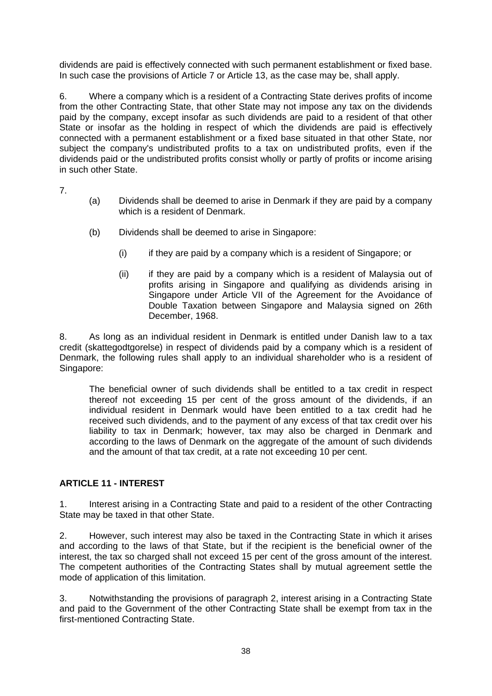dividends are paid is effectively connected with such permanent establishment or fixed base. In such case the provisions of Article 7 or Article 13, as the case may be, shall apply.

6. Where a company which is a resident of a Contracting State derives profits of income from the other Contracting State, that other State may not impose any tax on the dividends paid by the company, except insofar as such dividends are paid to a resident of that other State or insofar as the holding in respect of which the dividends are paid is effectively connected with a permanent establishment or a fixed base situated in that other State, nor subject the company's undistributed profits to a tax on undistributed profits, even if the dividends paid or the undistributed profits consist wholly or partly of profits or income arising in such other State.

7.

- (a) Dividends shall be deemed to arise in Denmark if they are paid by a company which is a resident of Denmark.
- (b) Dividends shall be deemed to arise in Singapore:
	- (i) if they are paid by a company which is a resident of Singapore; or
	- (ii) if they are paid by a company which is a resident of Malaysia out of profits arising in Singapore and qualifying as dividends arising in Singapore under Article VII of the Agreement for the Avoidance of Double Taxation between Singapore and Malaysia signed on 26th December, 1968.

8. As long as an individual resident in Denmark is entitled under Danish law to a tax credit (skattegodtgorelse) in respect of dividends paid by a company which is a resident of Denmark, the following rules shall apply to an individual shareholder who is a resident of Singapore:

The beneficial owner of such dividends shall be entitled to a tax credit in respect thereof not exceeding 15 per cent of the gross amount of the dividends, if an individual resident in Denmark would have been entitled to a tax credit had he received such dividends, and to the payment of any excess of that tax credit over his liability to tax in Denmark; however, tax may also be charged in Denmark and according to the laws of Denmark on the aggregate of the amount of such dividends and the amount of that tax credit, at a rate not exceeding 10 per cent.

# **ARTICLE 11 - INTEREST**

1. Interest arising in a Contracting State and paid to a resident of the other Contracting State may be taxed in that other State.

2. However, such interest may also be taxed in the Contracting State in which it arises and according to the laws of that State, but if the recipient is the beneficial owner of the interest, the tax so charged shall not exceed 15 per cent of the gross amount of the interest. The competent authorities of the Contracting States shall by mutual agreement settle the mode of application of this limitation.

3. Notwithstanding the provisions of paragraph 2, interest arising in a Contracting State and paid to the Government of the other Contracting State shall be exempt from tax in the first-mentioned Contracting State.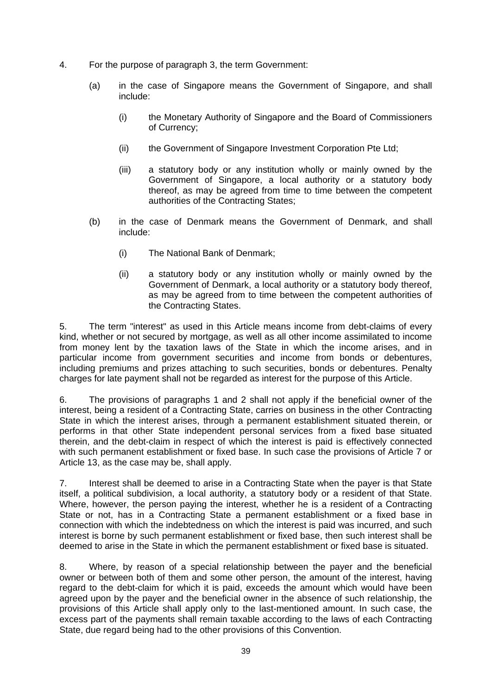- 4. For the purpose of paragraph 3, the term Government:
	- (a) in the case of Singapore means the Government of Singapore, and shall include:
		- (i) the Monetary Authority of Singapore and the Board of Commissioners of Currency;
		- (ii) the Government of Singapore Investment Corporation Pte Ltd;
		- (iii) a statutory body or any institution wholly or mainly owned by the Government of Singapore, a local authority or a statutory body thereof, as may be agreed from time to time between the competent authorities of the Contracting States;
	- (b) in the case of Denmark means the Government of Denmark, and shall include:
		- (i) The National Bank of Denmark;
		- (ii) a statutory body or any institution wholly or mainly owned by the Government of Denmark, a local authority or a statutory body thereof, as may be agreed from to time between the competent authorities of the Contracting States.

5. The term "interest" as used in this Article means income from debt-claims of every kind, whether or not secured by mortgage, as well as all other income assimilated to income from money lent by the taxation laws of the State in which the income arises, and in particular income from government securities and income from bonds or debentures, including premiums and prizes attaching to such securities, bonds or debentures. Penalty charges for late payment shall not be regarded as interest for the purpose of this Article.

6. The provisions of paragraphs 1 and 2 shall not apply if the beneficial owner of the interest, being a resident of a Contracting State, carries on business in the other Contracting State in which the interest arises, through a permanent establishment situated therein, or performs in that other State independent personal services from a fixed base situated therein, and the debt-claim in respect of which the interest is paid is effectively connected with such permanent establishment or fixed base. In such case the provisions of Article 7 or Article 13, as the case may be, shall apply.

7. Interest shall be deemed to arise in a Contracting State when the payer is that State itself, a political subdivision, a local authority, a statutory body or a resident of that State. Where, however, the person paying the interest, whether he is a resident of a Contracting State or not, has in a Contracting State a permanent establishment or a fixed base in connection with which the indebtedness on which the interest is paid was incurred, and such interest is borne by such permanent establishment or fixed base, then such interest shall be deemed to arise in the State in which the permanent establishment or fixed base is situated.

8. Where, by reason of a special relationship between the payer and the beneficial owner or between both of them and some other person, the amount of the interest, having regard to the debt-claim for which it is paid, exceeds the amount which would have been agreed upon by the payer and the beneficial owner in the absence of such relationship, the provisions of this Article shall apply only to the last-mentioned amount. In such case, the excess part of the payments shall remain taxable according to the laws of each Contracting State, due regard being had to the other provisions of this Convention.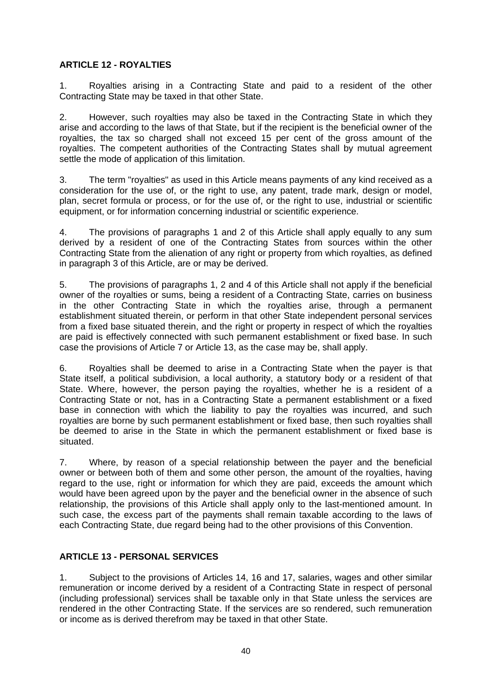## **ARTICLE 12 - ROYALTIES**

1. Royalties arising in a Contracting State and paid to a resident of the other Contracting State may be taxed in that other State.

2. However, such royalties may also be taxed in the Contracting State in which they arise and according to the laws of that State, but if the recipient is the beneficial owner of the royalties, the tax so charged shall not exceed 15 per cent of the gross amount of the royalties. The competent authorities of the Contracting States shall by mutual agreement settle the mode of application of this limitation.

3. The term "royalties" as used in this Article means payments of any kind received as a consideration for the use of, or the right to use, any patent, trade mark, design or model, plan, secret formula or process, or for the use of, or the right to use, industrial or scientific equipment, or for information concerning industrial or scientific experience.

4. The provisions of paragraphs 1 and 2 of this Article shall apply equally to any sum derived by a resident of one of the Contracting States from sources within the other Contracting State from the alienation of any right or property from which royalties, as defined in paragraph 3 of this Article, are or may be derived.

5. The provisions of paragraphs 1, 2 and 4 of this Article shall not apply if the beneficial owner of the royalties or sums, being a resident of a Contracting State, carries on business in the other Contracting State in which the royalties arise, through a permanent establishment situated therein, or perform in that other State independent personal services from a fixed base situated therein, and the right or property in respect of which the royalties are paid is effectively connected with such permanent establishment or fixed base. In such case the provisions of Article 7 or Article 13, as the case may be, shall apply.

6. Royalties shall be deemed to arise in a Contracting State when the payer is that State itself, a political subdivision, a local authority, a statutory body or a resident of that State. Where, however, the person paying the royalties, whether he is a resident of a Contracting State or not, has in a Contracting State a permanent establishment or a fixed base in connection with which the liability to pay the royalties was incurred, and such royalties are borne by such permanent establishment or fixed base, then such royalties shall be deemed to arise in the State in which the permanent establishment or fixed base is situated.

7. Where, by reason of a special relationship between the payer and the beneficial owner or between both of them and some other person, the amount of the royalties, having regard to the use, right or information for which they are paid, exceeds the amount which would have been agreed upon by the payer and the beneficial owner in the absence of such relationship, the provisions of this Article shall apply only to the last-mentioned amount. In such case, the excess part of the payments shall remain taxable according to the laws of each Contracting State, due regard being had to the other provisions of this Convention.

# **ARTICLE 13 - PERSONAL SERVICES**

1. Subject to the provisions of Articles 14, 16 and 17, salaries, wages and other similar remuneration or income derived by a resident of a Contracting State in respect of personal (including professional) services shall be taxable only in that State unless the services are rendered in the other Contracting State. If the services are so rendered, such remuneration or income as is derived therefrom may be taxed in that other State.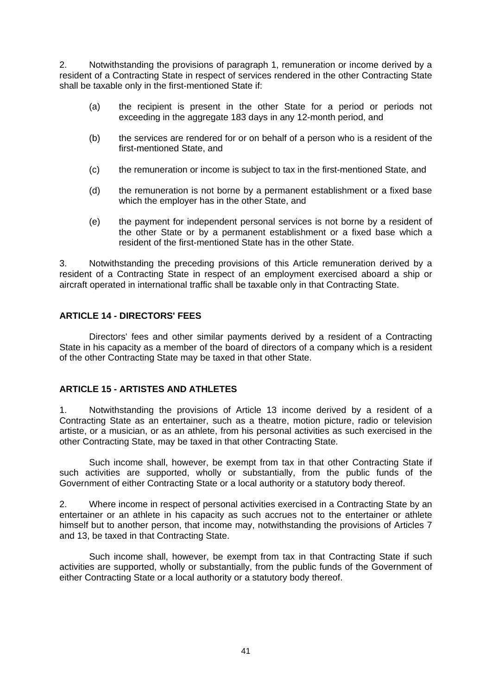2. Notwithstanding the provisions of paragraph 1, remuneration or income derived by a resident of a Contracting State in respect of services rendered in the other Contracting State shall be taxable only in the first-mentioned State if:

- (a) the recipient is present in the other State for a period or periods not exceeding in the aggregate 183 days in any 12-month period, and
- (b) the services are rendered for or on behalf of a person who is a resident of the first-mentioned State, and
- (c) the remuneration or income is subject to tax in the first-mentioned State, and
- (d) the remuneration is not borne by a permanent establishment or a fixed base which the employer has in the other State, and
- (e) the payment for independent personal services is not borne by a resident of the other State or by a permanent establishment or a fixed base which a resident of the first-mentioned State has in the other State.

3. Notwithstanding the preceding provisions of this Article remuneration derived by a resident of a Contracting State in respect of an employment exercised aboard a ship or aircraft operated in international traffic shall be taxable only in that Contracting State.

## **ARTICLE 14 - DIRECTORS' FEES**

Directors' fees and other similar payments derived by a resident of a Contracting State in his capacity as a member of the board of directors of a company which is a resident of the other Contracting State may be taxed in that other State.

## **ARTICLE 15 - ARTISTES AND ATHLETES**

1. Notwithstanding the provisions of Article 13 income derived by a resident of a Contracting State as an entertainer, such as a theatre, motion picture, radio or television artiste, or a musician, or as an athlete, from his personal activities as such exercised in the other Contracting State, may be taxed in that other Contracting State.

Such income shall, however, be exempt from tax in that other Contracting State if such activities are supported, wholly or substantially, from the public funds of the Government of either Contracting State or a local authority or a statutory body thereof.

2. Where income in respect of personal activities exercised in a Contracting State by an entertainer or an athlete in his capacity as such accrues not to the entertainer or athlete himself but to another person, that income may, notwithstanding the provisions of Articles 7 and 13, be taxed in that Contracting State.

Such income shall, however, be exempt from tax in that Contracting State if such activities are supported, wholly or substantially, from the public funds of the Government of either Contracting State or a local authority or a statutory body thereof.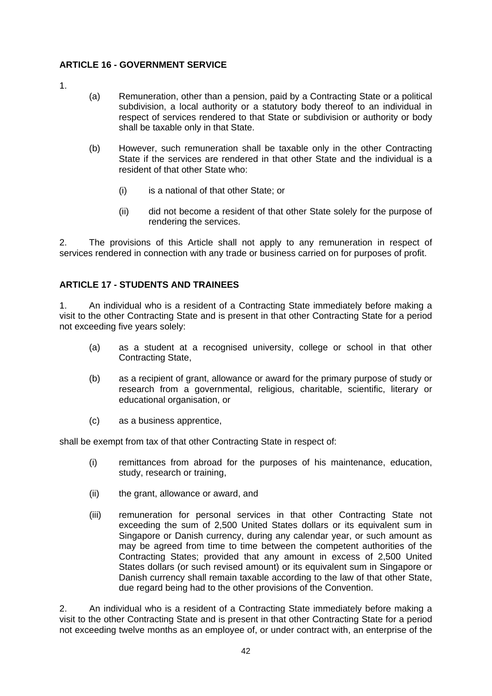## **ARTICLE 16 - GOVERNMENT SERVICE**

- 1.
- (a) Remuneration, other than a pension, paid by a Contracting State or a political subdivision, a local authority or a statutory body thereof to an individual in respect of services rendered to that State or subdivision or authority or body shall be taxable only in that State.
- (b) However, such remuneration shall be taxable only in the other Contracting State if the services are rendered in that other State and the individual is a resident of that other State who:
	- (i) is a national of that other State; or
	- (ii) did not become a resident of that other State solely for the purpose of rendering the services.

2. The provisions of this Article shall not apply to any remuneration in respect of services rendered in connection with any trade or business carried on for purposes of profit.

# **ARTICLE 17 - STUDENTS AND TRAINEES**

1. An individual who is a resident of a Contracting State immediately before making a visit to the other Contracting State and is present in that other Contracting State for a period not exceeding five years solely:

- (a) as a student at a recognised university, college or school in that other Contracting State,
- (b) as a recipient of grant, allowance or award for the primary purpose of study or research from a governmental, religious, charitable, scientific, literary or educational organisation, or
- (c) as a business apprentice,

shall be exempt from tax of that other Contracting State in respect of:

- (i) remittances from abroad for the purposes of his maintenance, education, study, research or training,
- (ii) the grant, allowance or award, and
- (iii) remuneration for personal services in that other Contracting State not exceeding the sum of 2,500 United States dollars or its equivalent sum in Singapore or Danish currency, during any calendar year, or such amount as may be agreed from time to time between the competent authorities of the Contracting States; provided that any amount in excess of 2,500 United States dollars (or such revised amount) or its equivalent sum in Singapore or Danish currency shall remain taxable according to the law of that other State, due regard being had to the other provisions of the Convention.

2. An individual who is a resident of a Contracting State immediately before making a visit to the other Contracting State and is present in that other Contracting State for a period not exceeding twelve months as an employee of, or under contract with, an enterprise of the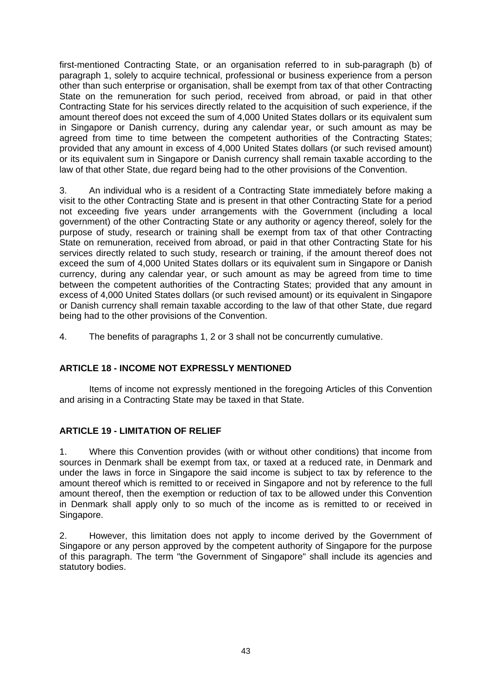first-mentioned Contracting State, or an organisation referred to in sub-paragraph (b) of paragraph 1, solely to acquire technical, professional or business experience from a person other than such enterprise or organisation, shall be exempt from tax of that other Contracting State on the remuneration for such period, received from abroad, or paid in that other Contracting State for his services directly related to the acquisition of such experience, if the amount thereof does not exceed the sum of 4,000 United States dollars or its equivalent sum in Singapore or Danish currency, during any calendar year, or such amount as may be agreed from time to time between the competent authorities of the Contracting States; provided that any amount in excess of 4,000 United States dollars (or such revised amount) or its equivalent sum in Singapore or Danish currency shall remain taxable according to the law of that other State, due regard being had to the other provisions of the Convention.

3. An individual who is a resident of a Contracting State immediately before making a visit to the other Contracting State and is present in that other Contracting State for a period not exceeding five years under arrangements with the Government (including a local government) of the other Contracting State or any authority or agency thereof, solely for the purpose of study, research or training shall be exempt from tax of that other Contracting State on remuneration, received from abroad, or paid in that other Contracting State for his services directly related to such study, research or training, if the amount thereof does not exceed the sum of 4,000 United States dollars or its equivalent sum in Singapore or Danish currency, during any calendar year, or such amount as may be agreed from time to time between the competent authorities of the Contracting States; provided that any amount in excess of 4,000 United States dollars (or such revised amount) or its equivalent in Singapore or Danish currency shall remain taxable according to the law of that other State, due regard being had to the other provisions of the Convention.

4. The benefits of paragraphs 1, 2 or 3 shall not be concurrently cumulative.

# **ARTICLE 18 - INCOME NOT EXPRESSLY MENTIONED**

Items of income not expressly mentioned in the foregoing Articles of this Convention and arising in a Contracting State may be taxed in that State.

## **ARTICLE 19 - LIMITATION OF RELIEF**

1. Where this Convention provides (with or without other conditions) that income from sources in Denmark shall be exempt from tax, or taxed at a reduced rate, in Denmark and under the laws in force in Singapore the said income is subject to tax by reference to the amount thereof which is remitted to or received in Singapore and not by reference to the full amount thereof, then the exemption or reduction of tax to be allowed under this Convention in Denmark shall apply only to so much of the income as is remitted to or received in Singapore.

2. However, this limitation does not apply to income derived by the Government of Singapore or any person approved by the competent authority of Singapore for the purpose of this paragraph. The term "the Government of Singapore" shall include its agencies and statutory bodies.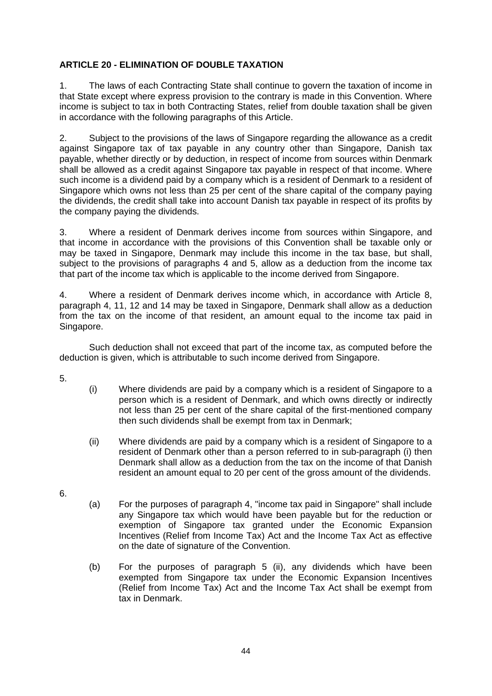## **ARTICLE 20 - ELIMINATION OF DOUBLE TAXATION**

1. The laws of each Contracting State shall continue to govern the taxation of income in that State except where express provision to the contrary is made in this Convention. Where income is subject to tax in both Contracting States, relief from double taxation shall be given in accordance with the following paragraphs of this Article.

2. Subject to the provisions of the laws of Singapore regarding the allowance as a credit against Singapore tax of tax payable in any country other than Singapore, Danish tax payable, whether directly or by deduction, in respect of income from sources within Denmark shall be allowed as a credit against Singapore tax payable in respect of that income. Where such income is a dividend paid by a company which is a resident of Denmark to a resident of Singapore which owns not less than 25 per cent of the share capital of the company paying the dividends, the credit shall take into account Danish tax payable in respect of its profits by the company paying the dividends.

3. Where a resident of Denmark derives income from sources within Singapore, and that income in accordance with the provisions of this Convention shall be taxable only or may be taxed in Singapore, Denmark may include this income in the tax base, but shall, subject to the provisions of paragraphs 4 and 5, allow as a deduction from the income tax that part of the income tax which is applicable to the income derived from Singapore.

4. Where a resident of Denmark derives income which, in accordance with Article 8, paragraph 4, 11, 12 and 14 may be taxed in Singapore, Denmark shall allow as a deduction from the tax on the income of that resident, an amount equal to the income tax paid in Singapore.

Such deduction shall not exceed that part of the income tax, as computed before the deduction is given, which is attributable to such income derived from Singapore.

5.

- (i) Where dividends are paid by a company which is a resident of Singapore to a person which is a resident of Denmark, and which owns directly or indirectly not less than 25 per cent of the share capital of the first-mentioned company then such dividends shall be exempt from tax in Denmark;
- (ii) Where dividends are paid by a company which is a resident of Singapore to a resident of Denmark other than a person referred to in sub-paragraph (i) then Denmark shall allow as a deduction from the tax on the income of that Danish resident an amount equal to 20 per cent of the gross amount of the dividends.
- 6.
- (a) For the purposes of paragraph 4, "income tax paid in Singapore" shall include any Singapore tax which would have been payable but for the reduction or exemption of Singapore tax granted under the Economic Expansion Incentives (Relief from Income Tax) Act and the Income Tax Act as effective on the date of signature of the Convention.
- (b) For the purposes of paragraph 5 (ii), any dividends which have been exempted from Singapore tax under the Economic Expansion Incentives (Relief from Income Tax) Act and the Income Tax Act shall be exempt from tax in Denmark.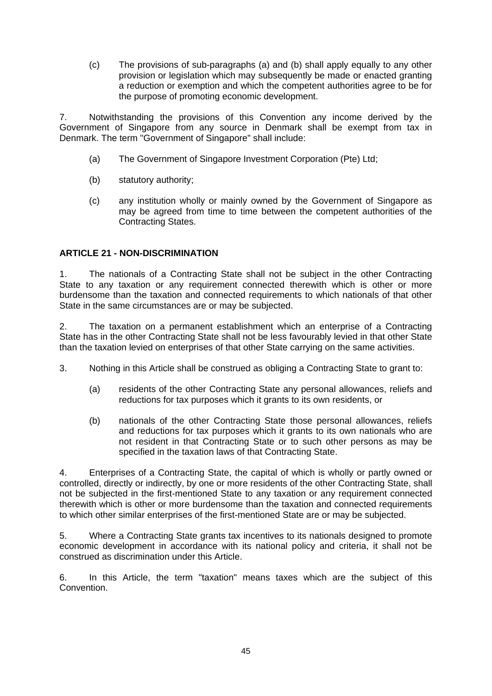(c) The provisions of sub-paragraphs (a) and (b) shall apply equally to any other provision or legislation which may subsequently be made or enacted granting a reduction or exemption and which the competent authorities agree to be for the purpose of promoting economic development.

7. Notwithstanding the provisions of this Convention any income derived by the Government of Singapore from any source in Denmark shall be exempt from tax in Denmark. The term "Government of Singapore" shall include:

- (a) The Government of Singapore Investment Corporation (Pte) Ltd;
- (b) statutory authority;
- (c) any institution wholly or mainly owned by the Government of Singapore as may be agreed from time to time between the competent authorities of the Contracting States.

## **ARTICLE 21 - NON-DISCRIMINATION**

1. The nationals of a Contracting State shall not be subject in the other Contracting State to any taxation or any requirement connected therewith which is other or more burdensome than the taxation and connected requirements to which nationals of that other State in the same circumstances are or may be subjected.

2. The taxation on a permanent establishment which an enterprise of a Contracting State has in the other Contracting State shall not be less favourably levied in that other State than the taxation levied on enterprises of that other State carrying on the same activities.

- 3. Nothing in this Article shall be construed as obliging a Contracting State to grant to:
	- (a) residents of the other Contracting State any personal allowances, reliefs and reductions for tax purposes which it grants to its own residents, or
	- (b) nationals of the other Contracting State those personal allowances, reliefs and reductions for tax purposes which it grants to its own nationals who are not resident in that Contracting State or to such other persons as may be specified in the taxation laws of that Contracting State.

4. Enterprises of a Contracting State, the capital of which is wholly or partly owned or controlled, directly or indirectly, by one or more residents of the other Contracting State, shall not be subjected in the first-mentioned State to any taxation or any requirement connected therewith which is other or more burdensome than the taxation and connected requirements to which other similar enterprises of the first-mentioned State are or may be subjected.

5. Where a Contracting State grants tax incentives to its nationals designed to promote economic development in accordance with its national policy and criteria, it shall not be construed as discrimination under this Article.

6. In this Article, the term "taxation" means taxes which are the subject of this Convention.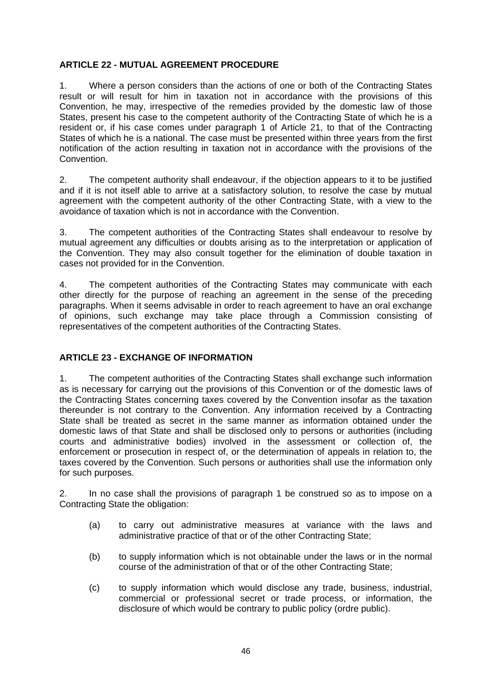## **ARTICLE 22 - MUTUAL AGREEMENT PROCEDURE**

1. Where a person considers than the actions of one or both of the Contracting States result or will result for him in taxation not in accordance with the provisions of this Convention, he may, irrespective of the remedies provided by the domestic law of those States, present his case to the competent authority of the Contracting State of which he is a resident or, if his case comes under paragraph 1 of Article 21, to that of the Contracting States of which he is a national. The case must be presented within three years from the first notification of the action resulting in taxation not in accordance with the provisions of the Convention.

2. The competent authority shall endeavour, if the objection appears to it to be justified and if it is not itself able to arrive at a satisfactory solution, to resolve the case by mutual agreement with the competent authority of the other Contracting State, with a view to the avoidance of taxation which is not in accordance with the Convention.

3. The competent authorities of the Contracting States shall endeavour to resolve by mutual agreement any difficulties or doubts arising as to the interpretation or application of the Convention. They may also consult together for the elimination of double taxation in cases not provided for in the Convention.

4. The competent authorities of the Contracting States may communicate with each other directly for the purpose of reaching an agreement in the sense of the preceding paragraphs. When it seems advisable in order to reach agreement to have an oral exchange of opinions, such exchange may take place through a Commission consisting of representatives of the competent authorities of the Contracting States.

# **ARTICLE 23 - EXCHANGE OF INFORMATION**

1. The competent authorities of the Contracting States shall exchange such information as is necessary for carrying out the provisions of this Convention or of the domestic laws of the Contracting States concerning taxes covered by the Convention insofar as the taxation thereunder is not contrary to the Convention. Any information received by a Contracting State shall be treated as secret in the same manner as information obtained under the domestic laws of that State and shall be disclosed only to persons or authorities (including courts and administrative bodies) involved in the assessment or collection of, the enforcement or prosecution in respect of, or the determination of appeals in relation to, the taxes covered by the Convention. Such persons or authorities shall use the information only for such purposes.

2. In no case shall the provisions of paragraph 1 be construed so as to impose on a Contracting State the obligation:

- (a) to carry out administrative measures at variance with the laws and administrative practice of that or of the other Contracting State;
- (b) to supply information which is not obtainable under the laws or in the normal course of the administration of that or of the other Contracting State;
- (c) to supply information which would disclose any trade, business, industrial, commercial or professional secret or trade process, or information, the disclosure of which would be contrary to public policy (ordre public).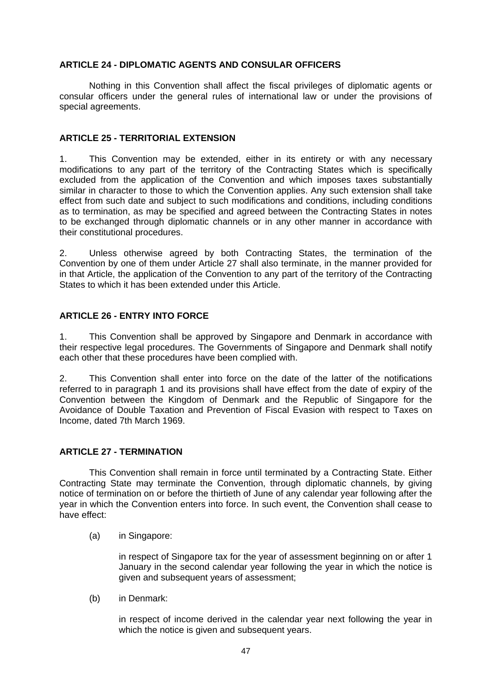#### **ARTICLE 24 - DIPLOMATIC AGENTS AND CONSULAR OFFICERS**

Nothing in this Convention shall affect the fiscal privileges of diplomatic agents or consular officers under the general rules of international law or under the provisions of special agreements.

#### **ARTICLE 25 - TERRITORIAL EXTENSION**

1. This Convention may be extended, either in its entirety or with any necessary modifications to any part of the territory of the Contracting States which is specifically excluded from the application of the Convention and which imposes taxes substantially similar in character to those to which the Convention applies. Any such extension shall take effect from such date and subject to such modifications and conditions, including conditions as to termination, as may be specified and agreed between the Contracting States in notes to be exchanged through diplomatic channels or in any other manner in accordance with their constitutional procedures.

2. Unless otherwise agreed by both Contracting States, the termination of the Convention by one of them under Article 27 shall also terminate, in the manner provided for in that Article, the application of the Convention to any part of the territory of the Contracting States to which it has been extended under this Article.

## **ARTICLE 26 - ENTRY INTO FORCE**

1. This Convention shall be approved by Singapore and Denmark in accordance with their respective legal procedures. The Governments of Singapore and Denmark shall notify each other that these procedures have been complied with.

2. This Convention shall enter into force on the date of the latter of the notifications referred to in paragraph 1 and its provisions shall have effect from the date of expiry of the Convention between the Kingdom of Denmark and the Republic of Singapore for the Avoidance of Double Taxation and Prevention of Fiscal Evasion with respect to Taxes on Income, dated 7th March 1969.

## **ARTICLE 27 - TERMINATION**

This Convention shall remain in force until terminated by a Contracting State. Either Contracting State may terminate the Convention, through diplomatic channels, by giving notice of termination on or before the thirtieth of June of any calendar year following after the year in which the Convention enters into force. In such event, the Convention shall cease to have effect:

(a) in Singapore:

in respect of Singapore tax for the year of assessment beginning on or after 1 January in the second calendar year following the year in which the notice is given and subsequent years of assessment;

(b) in Denmark:

in respect of income derived in the calendar year next following the year in which the notice is given and subsequent years.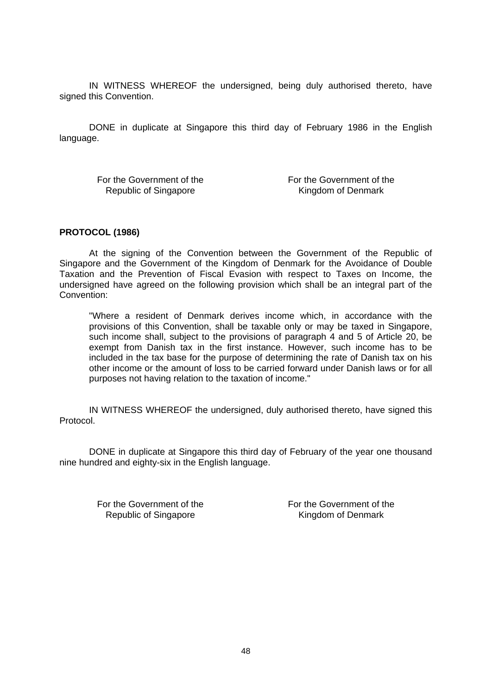IN WITNESS WHEREOF the undersigned, being duly authorised thereto, have signed this Convention.

DONE in duplicate at Singapore this third day of February 1986 in the English language.

For the Government of the Republic of Singapore

For the Government of the Kingdom of Denmark

## **PROTOCOL (1986)**

At the signing of the Convention between the Government of the Republic of Singapore and the Government of the Kingdom of Denmark for the Avoidance of Double Taxation and the Prevention of Fiscal Evasion with respect to Taxes on Income, the undersigned have agreed on the following provision which shall be an integral part of the Convention:

"Where a resident of Denmark derives income which, in accordance with the provisions of this Convention, shall be taxable only or may be taxed in Singapore, such income shall, subject to the provisions of paragraph 4 and 5 of Article 20, be exempt from Danish tax in the first instance. However, such income has to be included in the tax base for the purpose of determining the rate of Danish tax on his other income or the amount of loss to be carried forward under Danish laws or for all purposes not having relation to the taxation of income."

IN WITNESS WHEREOF the undersigned, duly authorised thereto, have signed this Protocol.

DONE in duplicate at Singapore this third day of February of the year one thousand nine hundred and eighty-six in the English language.

For the Government of the Republic of Singapore

For the Government of the Kingdom of Denmark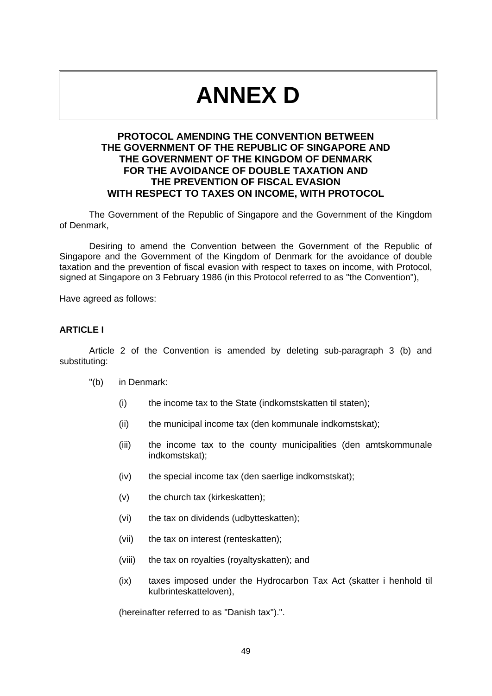# **ANNEX D**

## **PROTOCOL AMENDING THE CONVENTION BETWEEN THE GOVERNMENT OF THE REPUBLIC OF SINGAPORE AND THE GOVERNMENT OF THE KINGDOM OF DENMARK FOR THE AVOIDANCE OF DOUBLE TAXATION AND THE PREVENTION OF FISCAL EVASION WITH RESPECT TO TAXES ON INCOME, WITH PROTOCOL**

The Government of the Republic of Singapore and the Government of the Kingdom of Denmark,

Desiring to amend the Convention between the Government of the Republic of Singapore and the Government of the Kingdom of Denmark for the avoidance of double taxation and the prevention of fiscal evasion with respect to taxes on income, with Protocol, signed at Singapore on 3 February 1986 (in this Protocol referred to as "the Convention"),

Have agreed as follows:

#### **ARTICLE I**

Article 2 of the Convention is amended by deleting sub-paragraph 3 (b) and substituting:

- "(b) in Denmark:
	- (i) the income tax to the State (indkomstskatten til staten);
	- (ii) the municipal income tax (den kommunale indkomstskat);
	- (iii) the income tax to the county municipalities (den amtskommunale indkomstskat);
	- (iv) the special income tax (den saerlige indkomstskat);
	- (v) the church tax (kirkeskatten);
	- (vi) the tax on dividends (udbytteskatten);
	- (vii) the tax on interest (renteskatten);
	- (viii) the tax on royalties (royaltyskatten); and
	- (ix) taxes imposed under the Hydrocarbon Tax Act (skatter i henhold til kulbrinteskatteloven),

(hereinafter referred to as "Danish tax").".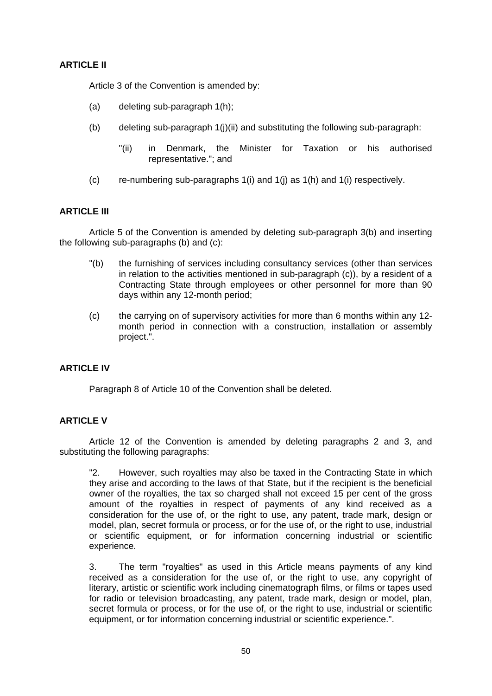## **ARTICLE II**

Article 3 of the Convention is amended by:

- (a) deleting sub-paragraph 1(h);
- (b) deleting sub-paragraph  $1(j)(ii)$  and substituting the following sub-paragraph:
	- "(ii) in Denmark, the Minister for Taxation or his authorised representative."; and
- (c) re-numbering sub-paragraphs 1(i) and 1(j) as 1(h) and 1(i) respectively.

## **ARTICLE III**

Article 5 of the Convention is amended by deleting sub-paragraph 3(b) and inserting the following sub-paragraphs (b) and (c):

- "(b) the furnishing of services including consultancy services (other than services in relation to the activities mentioned in sub-paragraph (c)), by a resident of a Contracting State through employees or other personnel for more than 90 days within any 12-month period;
- (c) the carrying on of supervisory activities for more than 6 months within any 12 month period in connection with a construction, installation or assembly project.".

## **ARTICLE IV**

Paragraph 8 of Article 10 of the Convention shall be deleted.

## **ARTICLE V**

Article 12 of the Convention is amended by deleting paragraphs 2 and 3, and substituting the following paragraphs:

"2. However, such royalties may also be taxed in the Contracting State in which they arise and according to the laws of that State, but if the recipient is the beneficial owner of the royalties, the tax so charged shall not exceed 15 per cent of the gross amount of the royalties in respect of payments of any kind received as a consideration for the use of, or the right to use, any patent, trade mark, design or model, plan, secret formula or process, or for the use of, or the right to use, industrial or scientific equipment, or for information concerning industrial or scientific experience.

3. The term "royalties" as used in this Article means payments of any kind received as a consideration for the use of, or the right to use, any copyright of literary, artistic or scientific work including cinematograph films, or films or tapes used for radio or television broadcasting, any patent, trade mark, design or model, plan, secret formula or process, or for the use of, or the right to use, industrial or scientific equipment, or for information concerning industrial or scientific experience.".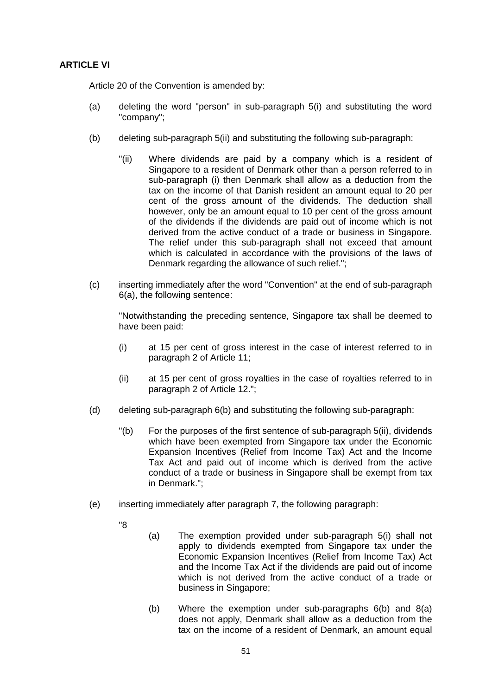## **ARTICLE VI**

Article 20 of the Convention is amended by:

- (a) deleting the word "person" in sub-paragraph 5(i) and substituting the word "company";
- (b) deleting sub-paragraph 5(ii) and substituting the following sub-paragraph:
	- "(ii) Where dividends are paid by a company which is a resident of Singapore to a resident of Denmark other than a person referred to in sub-paragraph (i) then Denmark shall allow as a deduction from the tax on the income of that Danish resident an amount equal to 20 per cent of the gross amount of the dividends. The deduction shall however, only be an amount equal to 10 per cent of the gross amount of the dividends if the dividends are paid out of income which is not derived from the active conduct of a trade or business in Singapore. The relief under this sub-paragraph shall not exceed that amount which is calculated in accordance with the provisions of the laws of Denmark regarding the allowance of such relief.";
- (c) inserting immediately after the word "Convention" at the end of sub-paragraph 6(a), the following sentence:

"Notwithstanding the preceding sentence, Singapore tax shall be deemed to have been paid:

- (i) at 15 per cent of gross interest in the case of interest referred to in paragraph 2 of Article 11;
- (ii) at 15 per cent of gross royalties in the case of royalties referred to in paragraph 2 of Article 12.";
- $(d)$  deleting sub-paragraph  $6(b)$  and substituting the following sub-paragraph:
	- "(b) For the purposes of the first sentence of sub-paragraph 5(ii), dividends which have been exempted from Singapore tax under the Economic Expansion Incentives (Relief from Income Tax) Act and the Income Tax Act and paid out of income which is derived from the active conduct of a trade or business in Singapore shall be exempt from tax in Denmark.";
- (e) inserting immediately after paragraph 7, the following paragraph:
	- "8
- (a) The exemption provided under sub-paragraph 5(i) shall not apply to dividends exempted from Singapore tax under the Economic Expansion Incentives (Relief from Income Tax) Act and the Income Tax Act if the dividends are paid out of income which is not derived from the active conduct of a trade or business in Singapore;
- (b) Where the exemption under sub-paragraphs 6(b) and 8(a) does not apply, Denmark shall allow as a deduction from the tax on the income of a resident of Denmark, an amount equal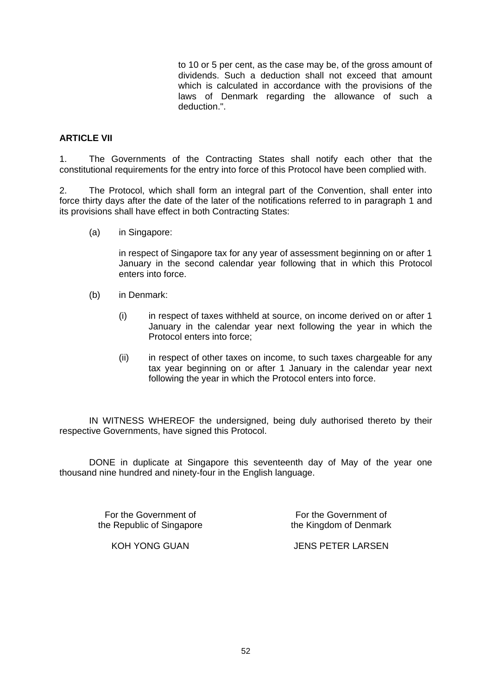to 10 or 5 per cent, as the case may be, of the gross amount of dividends. Such a deduction shall not exceed that amount which is calculated in accordance with the provisions of the laws of Denmark regarding the allowance of such a deduction.".

## **ARTICLE VII**

1. The Governments of the Contracting States shall notify each other that the constitutional requirements for the entry into force of this Protocol have been complied with.

2. The Protocol, which shall form an integral part of the Convention, shall enter into force thirty days after the date of the later of the notifications referred to in paragraph 1 and its provisions shall have effect in both Contracting States:

(a) in Singapore:

in respect of Singapore tax for any year of assessment beginning on or after 1 January in the second calendar year following that in which this Protocol enters into force.

- (b) in Denmark:
	- (i) in respect of taxes withheld at source, on income derived on or after 1 January in the calendar year next following the year in which the Protocol enters into force;
	- (ii) in respect of other taxes on income, to such taxes chargeable for any tax year beginning on or after 1 January in the calendar year next following the year in which the Protocol enters into force.

IN WITNESS WHEREOF the undersigned, being duly authorised thereto by their respective Governments, have signed this Protocol.

DONE in duplicate at Singapore this seventeenth day of May of the year one thousand nine hundred and ninety-four in the English language.

> For the Government of the Republic of Singapore

For the Government of the Kingdom of Denmark

KOH YONG GUAN JENS PETER LARSEN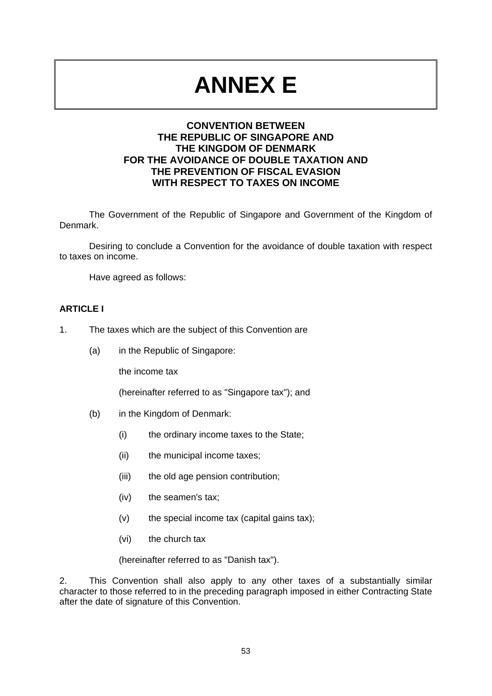# **ANNEX E**

# **CONVENTION BETWEEN THE REPUBLIC OF SINGAPORE AND THE KINGDOM OF DENMARK FOR THE AVOIDANCE OF DOUBLE TAXATION AND THE PREVENTION OF FISCAL EVASION WITH RESPECT TO TAXES ON INCOME**

The Government of the Republic of Singapore and Government of the Kingdom of Denmark.

Desiring to conclude a Convention for the avoidance of double taxation with respect to taxes on income.

Have agreed as follows:

## **ARTICLE I**

- 1. The taxes which are the subject of this Convention are
	- (a) in the Republic of Singapore:

the income tax

(hereinafter referred to as "Singapore tax"); and

- (b) in the Kingdom of Denmark:
	- (i) the ordinary income taxes to the State;
	- (ii) the municipal income taxes;
	- (iii) the old age pension contribution;
	- (iv) the seamen's tax;
	- (v) the special income tax (capital gains tax);
	- (vi) the church tax

(hereinafter referred to as "Danish tax").

2. This Convention shall also apply to any other taxes of a substantially similar character to those referred to in the preceding paragraph imposed in either Contracting State after the date of signature of this Convention.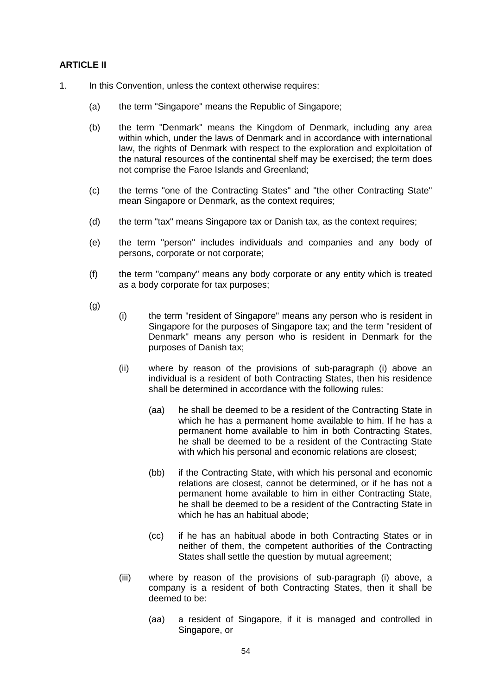## **ARTICLE II**

- 1. In this Convention, unless the context otherwise requires:
	- (a) the term "Singapore" means the Republic of Singapore;
	- (b) the term "Denmark" means the Kingdom of Denmark, including any area within which, under the laws of Denmark and in accordance with international law, the rights of Denmark with respect to the exploration and exploitation of the natural resources of the continental shelf may be exercised; the term does not comprise the Faroe Islands and Greenland;
	- (c) the terms "one of the Contracting States" and "the other Contracting State" mean Singapore or Denmark, as the context requires;
	- (d) the term "tax" means Singapore tax or Danish tax, as the context requires;
	- (e) the term "person" includes individuals and companies and any body of persons, corporate or not corporate;
	- (f) the term "company" means any body corporate or any entity which is treated as a body corporate for tax purposes;
	- (g)
- (i) the term "resident of Singapore" means any person who is resident in Singapore for the purposes of Singapore tax; and the term "resident of Denmark" means any person who is resident in Denmark for the purposes of Danish tax;
- (ii) where by reason of the provisions of sub-paragraph (i) above an individual is a resident of both Contracting States, then his residence shall be determined in accordance with the following rules:
	- (aa) he shall be deemed to be a resident of the Contracting State in which he has a permanent home available to him. If he has a permanent home available to him in both Contracting States, he shall be deemed to be a resident of the Contracting State with which his personal and economic relations are closest;
	- (bb) if the Contracting State, with which his personal and economic relations are closest, cannot be determined, or if he has not a permanent home available to him in either Contracting State, he shall be deemed to be a resident of the Contracting State in which he has an habitual abode;
	- (cc) if he has an habitual abode in both Contracting States or in neither of them, the competent authorities of the Contracting States shall settle the question by mutual agreement;
- (iii) where by reason of the provisions of sub-paragraph (i) above, a company is a resident of both Contracting States, then it shall be deemed to be:
	- (aa) a resident of Singapore, if it is managed and controlled in Singapore, or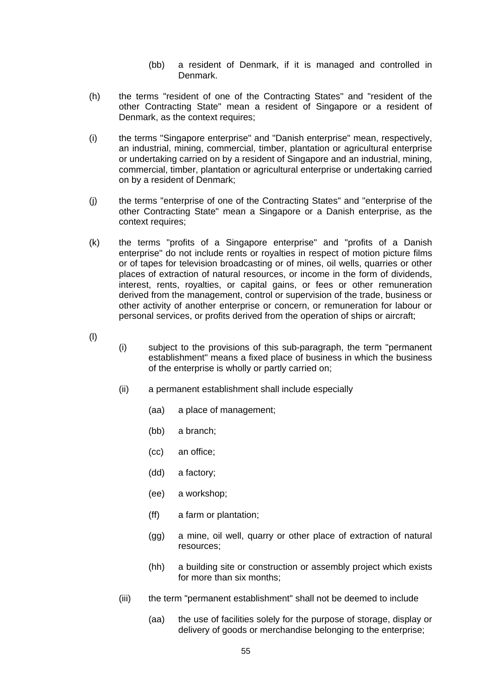- (bb) a resident of Denmark, if it is managed and controlled in Denmark.
- (h) the terms "resident of one of the Contracting States" and "resident of the other Contracting State" mean a resident of Singapore or a resident of Denmark, as the context requires;
- (i) the terms "Singapore enterprise" and "Danish enterprise" mean, respectively, an industrial, mining, commercial, timber, plantation or agricultural enterprise or undertaking carried on by a resident of Singapore and an industrial, mining, commercial, timber, plantation or agricultural enterprise or undertaking carried on by a resident of Denmark;
- (j) the terms "enterprise of one of the Contracting States" and "enterprise of the other Contracting State" mean a Singapore or a Danish enterprise, as the context requires;
- (k) the terms "profits of a Singapore enterprise" and "profits of a Danish enterprise" do not include rents or royalties in respect of motion picture films or of tapes for television broadcasting or of mines, oil wells, quarries or other places of extraction of natural resources, or income in the form of dividends, interest, rents, royalties, or capital gains, or fees or other remuneration derived from the management, control or supervision of the trade, business or other activity of another enterprise or concern, or remuneration for labour or personal services, or profits derived from the operation of ships or aircraft;
- (l)
- (i) subject to the provisions of this sub-paragraph, the term "permanent establishment" means a fixed place of business in which the business of the enterprise is wholly or partly carried on;
- (ii) a permanent establishment shall include especially
	- (aa) a place of management;
	- (bb) a branch;
	- (cc) an office;
	- (dd) a factory;
	- (ee) a workshop;
	- (ff) a farm or plantation;
	- (gg) a mine, oil well, quarry or other place of extraction of natural resources;
	- (hh) a building site or construction or assembly project which exists for more than six months;
- (iii) the term "permanent establishment" shall not be deemed to include
	- (aa) the use of facilities solely for the purpose of storage, display or delivery of goods or merchandise belonging to the enterprise;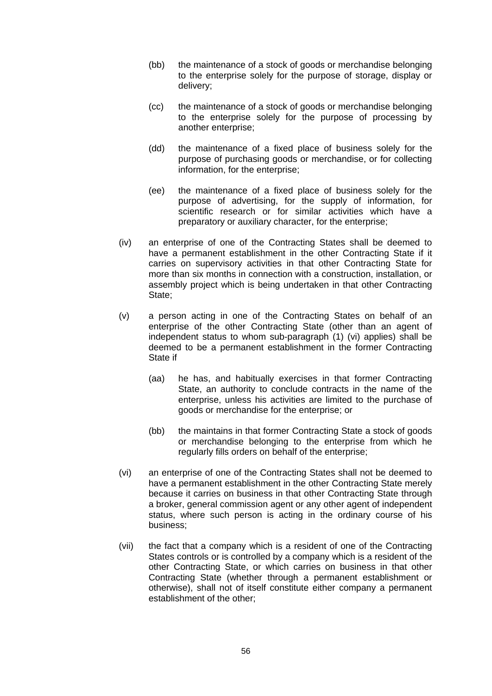- (bb) the maintenance of a stock of goods or merchandise belonging to the enterprise solely for the purpose of storage, display or delivery;
- (cc) the maintenance of a stock of goods or merchandise belonging to the enterprise solely for the purpose of processing by another enterprise;
- (dd) the maintenance of a fixed place of business solely for the purpose of purchasing goods or merchandise, or for collecting information, for the enterprise;
- (ee) the maintenance of a fixed place of business solely for the purpose of advertising, for the supply of information, for scientific research or for similar activities which have a preparatory or auxiliary character, for the enterprise;
- (iv) an enterprise of one of the Contracting States shall be deemed to have a permanent establishment in the other Contracting State if it carries on supervisory activities in that other Contracting State for more than six months in connection with a construction, installation, or assembly project which is being undertaken in that other Contracting State:
- (v) a person acting in one of the Contracting States on behalf of an enterprise of the other Contracting State (other than an agent of independent status to whom sub-paragraph (1) (vi) applies) shall be deemed to be a permanent establishment in the former Contracting State if
	- (aa) he has, and habitually exercises in that former Contracting State, an authority to conclude contracts in the name of the enterprise, unless his activities are limited to the purchase of goods or merchandise for the enterprise; or
	- (bb) the maintains in that former Contracting State a stock of goods or merchandise belonging to the enterprise from which he regularly fills orders on behalf of the enterprise;
- (vi) an enterprise of one of the Contracting States shall not be deemed to have a permanent establishment in the other Contracting State merely because it carries on business in that other Contracting State through a broker, general commission agent or any other agent of independent status, where such person is acting in the ordinary course of his business;
- (vii) the fact that a company which is a resident of one of the Contracting States controls or is controlled by a company which is a resident of the other Contracting State, or which carries on business in that other Contracting State (whether through a permanent establishment or otherwise), shall not of itself constitute either company a permanent establishment of the other;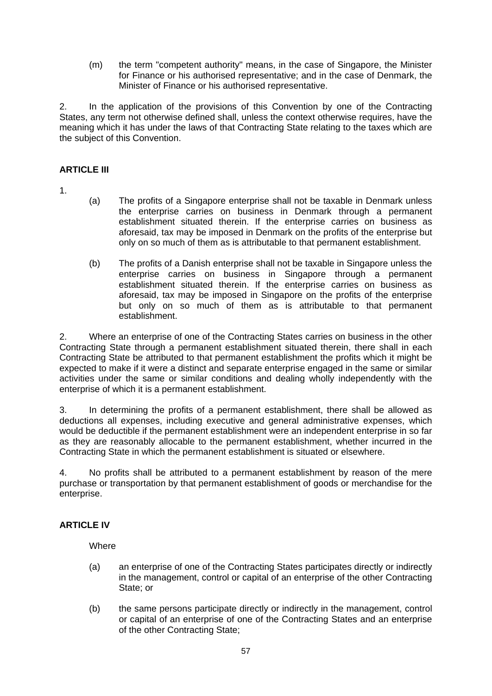(m) the term "competent authority" means, in the case of Singapore, the Minister for Finance or his authorised representative; and in the case of Denmark, the Minister of Finance or his authorised representative.

2. In the application of the provisions of this Convention by one of the Contracting States, any term not otherwise defined shall, unless the context otherwise requires, have the meaning which it has under the laws of that Contracting State relating to the taxes which are the subject of this Convention.

# **ARTICLE III**

1.

- (a) The profits of a Singapore enterprise shall not be taxable in Denmark unless the enterprise carries on business in Denmark through a permanent establishment situated therein. If the enterprise carries on business as aforesaid, tax may be imposed in Denmark on the profits of the enterprise but only on so much of them as is attributable to that permanent establishment.
- (b) The profits of a Danish enterprise shall not be taxable in Singapore unless the enterprise carries on business in Singapore through a permanent establishment situated therein. If the enterprise carries on business as aforesaid, tax may be imposed in Singapore on the profits of the enterprise but only on so much of them as is attributable to that permanent establishment.

2. Where an enterprise of one of the Contracting States carries on business in the other Contracting State through a permanent establishment situated therein, there shall in each Contracting State be attributed to that permanent establishment the profits which it might be expected to make if it were a distinct and separate enterprise engaged in the same or similar activities under the same or similar conditions and dealing wholly independently with the enterprise of which it is a permanent establishment.

3. In determining the profits of a permanent establishment, there shall be allowed as deductions all expenses, including executive and general administrative expenses, which would be deductible if the permanent establishment were an independent enterprise in so far as they are reasonably allocable to the permanent establishment, whether incurred in the Contracting State in which the permanent establishment is situated or elsewhere.

4. No profits shall be attributed to a permanent establishment by reason of the mere purchase or transportation by that permanent establishment of goods or merchandise for the enterprise.

# **ARTICLE IV**

**Where** 

- (a) an enterprise of one of the Contracting States participates directly or indirectly in the management, control or capital of an enterprise of the other Contracting State; or
- (b) the same persons participate directly or indirectly in the management, control or capital of an enterprise of one of the Contracting States and an enterprise of the other Contracting State;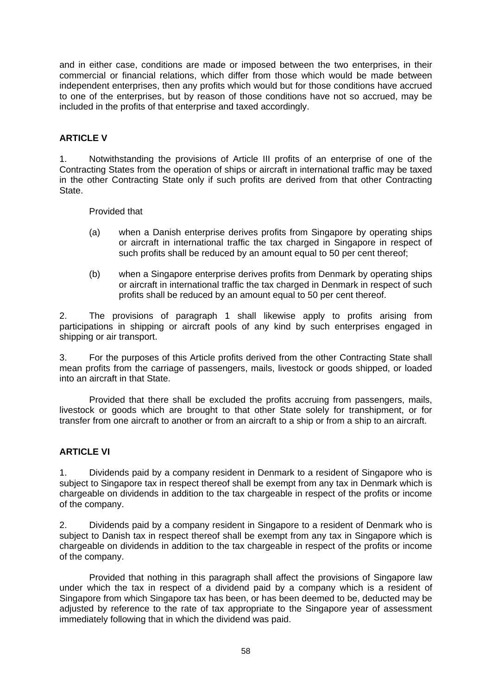and in either case, conditions are made or imposed between the two enterprises, in their commercial or financial relations, which differ from those which would be made between independent enterprises, then any profits which would but for those conditions have accrued to one of the enterprises, but by reason of those conditions have not so accrued, may be included in the profits of that enterprise and taxed accordingly.

# **ARTICLE V**

1. Notwithstanding the provisions of Article III profits of an enterprise of one of the Contracting States from the operation of ships or aircraft in international traffic may be taxed in the other Contracting State only if such profits are derived from that other Contracting State.

Provided that

- (a) when a Danish enterprise derives profits from Singapore by operating ships or aircraft in international traffic the tax charged in Singapore in respect of such profits shall be reduced by an amount equal to 50 per cent thereof;
- (b) when a Singapore enterprise derives profits from Denmark by operating ships or aircraft in international traffic the tax charged in Denmark in respect of such profits shall be reduced by an amount equal to 50 per cent thereof.

2. The provisions of paragraph 1 shall likewise apply to profits arising from participations in shipping or aircraft pools of any kind by such enterprises engaged in shipping or air transport.

3. For the purposes of this Article profits derived from the other Contracting State shall mean profits from the carriage of passengers, mails, livestock or goods shipped, or loaded into an aircraft in that State.

Provided that there shall be excluded the profits accruing from passengers, mails, livestock or goods which are brought to that other State solely for transhipment, or for transfer from one aircraft to another or from an aircraft to a ship or from a ship to an aircraft.

# **ARTICLE VI**

1. Dividends paid by a company resident in Denmark to a resident of Singapore who is subject to Singapore tax in respect thereof shall be exempt from any tax in Denmark which is chargeable on dividends in addition to the tax chargeable in respect of the profits or income of the company.

2. Dividends paid by a company resident in Singapore to a resident of Denmark who is subject to Danish tax in respect thereof shall be exempt from any tax in Singapore which is chargeable on dividends in addition to the tax chargeable in respect of the profits or income of the company.

Provided that nothing in this paragraph shall affect the provisions of Singapore law under which the tax in respect of a dividend paid by a company which is a resident of Singapore from which Singapore tax has been, or has been deemed to be, deducted may be adjusted by reference to the rate of tax appropriate to the Singapore year of assessment immediately following that in which the dividend was paid.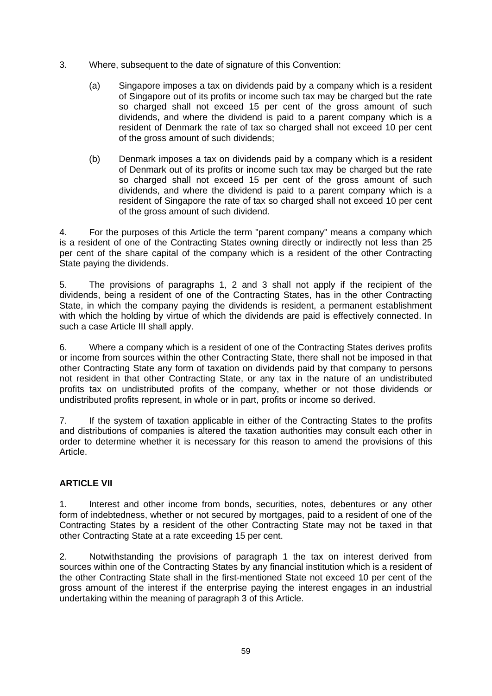- 3. Where, subsequent to the date of signature of this Convention:
	- (a) Singapore imposes a tax on dividends paid by a company which is a resident of Singapore out of its profits or income such tax may be charged but the rate so charged shall not exceed 15 per cent of the gross amount of such dividends, and where the dividend is paid to a parent company which is a resident of Denmark the rate of tax so charged shall not exceed 10 per cent of the gross amount of such dividends;
	- (b) Denmark imposes a tax on dividends paid by a company which is a resident of Denmark out of its profits or income such tax may be charged but the rate so charged shall not exceed 15 per cent of the gross amount of such dividends, and where the dividend is paid to a parent company which is a resident of Singapore the rate of tax so charged shall not exceed 10 per cent of the gross amount of such dividend.

4. For the purposes of this Article the term "parent company" means a company which is a resident of one of the Contracting States owning directly or indirectly not less than 25 per cent of the share capital of the company which is a resident of the other Contracting State paying the dividends.

5. The provisions of paragraphs 1, 2 and 3 shall not apply if the recipient of the dividends, being a resident of one of the Contracting States, has in the other Contracting State, in which the company paying the dividends is resident, a permanent establishment with which the holding by virtue of which the dividends are paid is effectively connected. In such a case Article III shall apply.

6. Where a company which is a resident of one of the Contracting States derives profits or income from sources within the other Contracting State, there shall not be imposed in that other Contracting State any form of taxation on dividends paid by that company to persons not resident in that other Contracting State, or any tax in the nature of an undistributed profits tax on undistributed profits of the company, whether or not those dividends or undistributed profits represent, in whole or in part, profits or income so derived.

7. If the system of taxation applicable in either of the Contracting States to the profits and distributions of companies is altered the taxation authorities may consult each other in order to determine whether it is necessary for this reason to amend the provisions of this Article.

# **ARTICLE VII**

1. Interest and other income from bonds, securities, notes, debentures or any other form of indebtedness, whether or not secured by mortgages, paid to a resident of one of the Contracting States by a resident of the other Contracting State may not be taxed in that other Contracting State at a rate exceeding 15 per cent.

2. Notwithstanding the provisions of paragraph 1 the tax on interest derived from sources within one of the Contracting States by any financial institution which is a resident of the other Contracting State shall in the first-mentioned State not exceed 10 per cent of the gross amount of the interest if the enterprise paying the interest engages in an industrial undertaking within the meaning of paragraph 3 of this Article.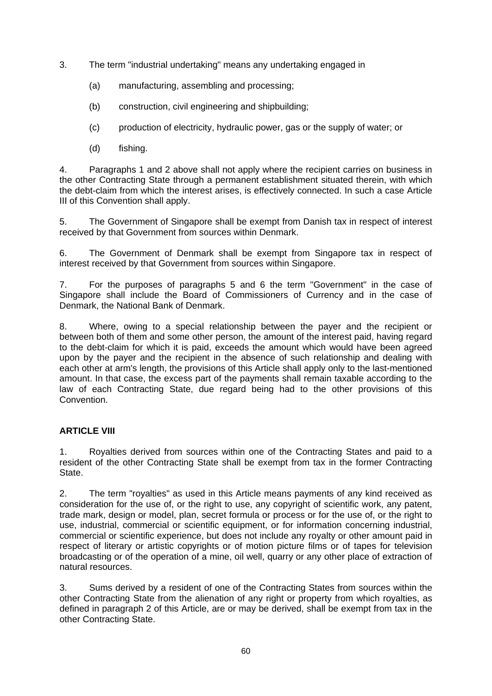- 3. The term "industrial undertaking" means any undertaking engaged in
	- (a) manufacturing, assembling and processing;
	- (b) construction, civil engineering and shipbuilding;
	- (c) production of electricity, hydraulic power, gas or the supply of water; or
	- (d) fishing.

4. Paragraphs 1 and 2 above shall not apply where the recipient carries on business in the other Contracting State through a permanent establishment situated therein, with which the debt-claim from which the interest arises, is effectively connected. In such a case Article III of this Convention shall apply.

5. The Government of Singapore shall be exempt from Danish tax in respect of interest received by that Government from sources within Denmark.

6. The Government of Denmark shall be exempt from Singapore tax in respect of interest received by that Government from sources within Singapore.

7. For the purposes of paragraphs 5 and 6 the term "Government" in the case of Singapore shall include the Board of Commissioners of Currency and in the case of Denmark, the National Bank of Denmark.

8. Where, owing to a special relationship between the payer and the recipient or between both of them and some other person, the amount of the interest paid, having regard to the debt-claim for which it is paid, exceeds the amount which would have been agreed upon by the payer and the recipient in the absence of such relationship and dealing with each other at arm's length, the provisions of this Article shall apply only to the last-mentioned amount. In that case, the excess part of the payments shall remain taxable according to the law of each Contracting State, due regard being had to the other provisions of this Convention.

# **ARTICLE VIII**

1. Royalties derived from sources within one of the Contracting States and paid to a resident of the other Contracting State shall be exempt from tax in the former Contracting State.

2. The term "royalties" as used in this Article means payments of any kind received as consideration for the use of, or the right to use, any copyright of scientific work, any patent, trade mark, design or model, plan, secret formula or process or for the use of, or the right to use, industrial, commercial or scientific equipment, or for information concerning industrial, commercial or scientific experience, but does not include any royalty or other amount paid in respect of literary or artistic copyrights or of motion picture films or of tapes for television broadcasting or of the operation of a mine, oil well, quarry or any other place of extraction of natural resources.

3. Sums derived by a resident of one of the Contracting States from sources within the other Contracting State from the alienation of any right or property from which royalties, as defined in paragraph 2 of this Article, are or may be derived, shall be exempt from tax in the other Contracting State.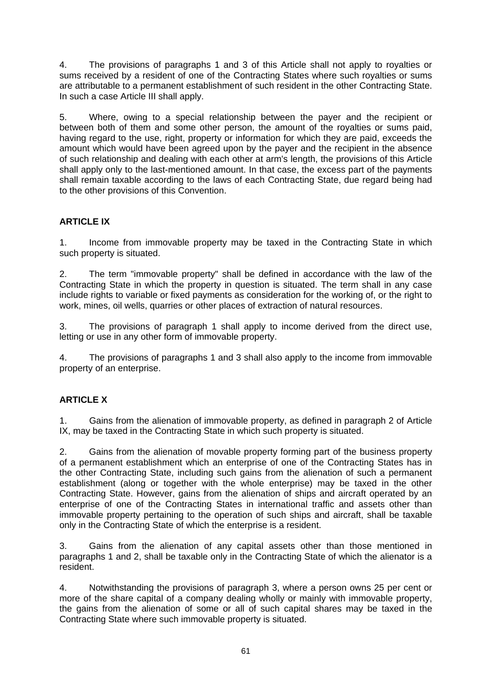4. The provisions of paragraphs 1 and 3 of this Article shall not apply to royalties or sums received by a resident of one of the Contracting States where such royalties or sums are attributable to a permanent establishment of such resident in the other Contracting State. In such a case Article III shall apply.

5. Where, owing to a special relationship between the payer and the recipient or between both of them and some other person, the amount of the royalties or sums paid, having regard to the use, right, property or information for which they are paid, exceeds the amount which would have been agreed upon by the payer and the recipient in the absence of such relationship and dealing with each other at arm's length, the provisions of this Article shall apply only to the last-mentioned amount. In that case, the excess part of the payments shall remain taxable according to the laws of each Contracting State, due regard being had to the other provisions of this Convention.

# **ARTICLE IX**

1. Income from immovable property may be taxed in the Contracting State in which such property is situated.

2. The term "immovable property" shall be defined in accordance with the law of the Contracting State in which the property in question is situated. The term shall in any case include rights to variable or fixed payments as consideration for the working of, or the right to work, mines, oil wells, quarries or other places of extraction of natural resources.

3. The provisions of paragraph 1 shall apply to income derived from the direct use, letting or use in any other form of immovable property.

4. The provisions of paragraphs 1 and 3 shall also apply to the income from immovable property of an enterprise.

# **ARTICLE X**

1. Gains from the alienation of immovable property, as defined in paragraph 2 of Article IX, may be taxed in the Contracting State in which such property is situated.

2. Gains from the alienation of movable property forming part of the business property of a permanent establishment which an enterprise of one of the Contracting States has in the other Contracting State, including such gains from the alienation of such a permanent establishment (along or together with the whole enterprise) may be taxed in the other Contracting State. However, gains from the alienation of ships and aircraft operated by an enterprise of one of the Contracting States in international traffic and assets other than immovable property pertaining to the operation of such ships and aircraft, shall be taxable only in the Contracting State of which the enterprise is a resident.

3. Gains from the alienation of any capital assets other than those mentioned in paragraphs 1 and 2, shall be taxable only in the Contracting State of which the alienator is a resident.

4. Notwithstanding the provisions of paragraph 3, where a person owns 25 per cent or more of the share capital of a company dealing wholly or mainly with immovable property, the gains from the alienation of some or all of such capital shares may be taxed in the Contracting State where such immovable property is situated.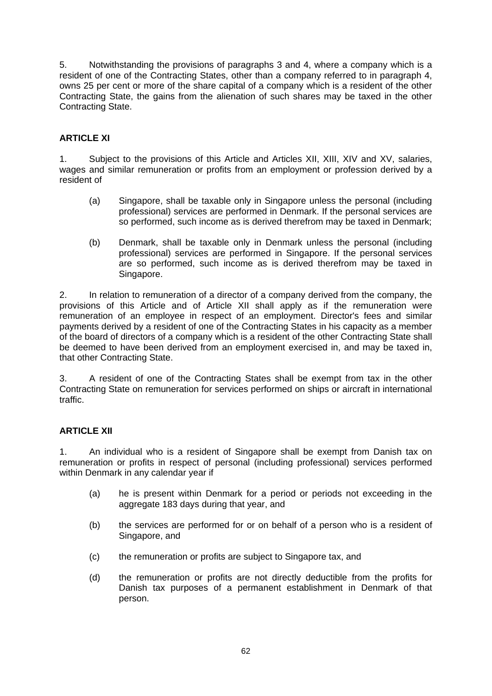5. Notwithstanding the provisions of paragraphs 3 and 4, where a company which is a resident of one of the Contracting States, other than a company referred to in paragraph 4, owns 25 per cent or more of the share capital of a company which is a resident of the other Contracting State, the gains from the alienation of such shares may be taxed in the other Contracting State.

# **ARTICLE XI**

1. Subject to the provisions of this Article and Articles XII, XIII, XIV and XV, salaries, wages and similar remuneration or profits from an employment or profession derived by a resident of

- (a) Singapore, shall be taxable only in Singapore unless the personal (including professional) services are performed in Denmark. If the personal services are so performed, such income as is derived therefrom may be taxed in Denmark;
- (b) Denmark, shall be taxable only in Denmark unless the personal (including professional) services are performed in Singapore. If the personal services are so performed, such income as is derived therefrom may be taxed in Singapore.

2. In relation to remuneration of a director of a company derived from the company, the provisions of this Article and of Article XII shall apply as if the remuneration were remuneration of an employee in respect of an employment. Director's fees and similar payments derived by a resident of one of the Contracting States in his capacity as a member of the board of directors of a company which is a resident of the other Contracting State shall be deemed to have been derived from an employment exercised in, and may be taxed in, that other Contracting State.

3. A resident of one of the Contracting States shall be exempt from tax in the other Contracting State on remuneration for services performed on ships or aircraft in international traffic.

## **ARTICLE XII**

1. An individual who is a resident of Singapore shall be exempt from Danish tax on remuneration or profits in respect of personal (including professional) services performed within Denmark in any calendar year if

- (a) he is present within Denmark for a period or periods not exceeding in the aggregate 183 days during that year, and
- (b) the services are performed for or on behalf of a person who is a resident of Singapore, and
- (c) the remuneration or profits are subject to Singapore tax, and
- (d) the remuneration or profits are not directly deductible from the profits for Danish tax purposes of a permanent establishment in Denmark of that person.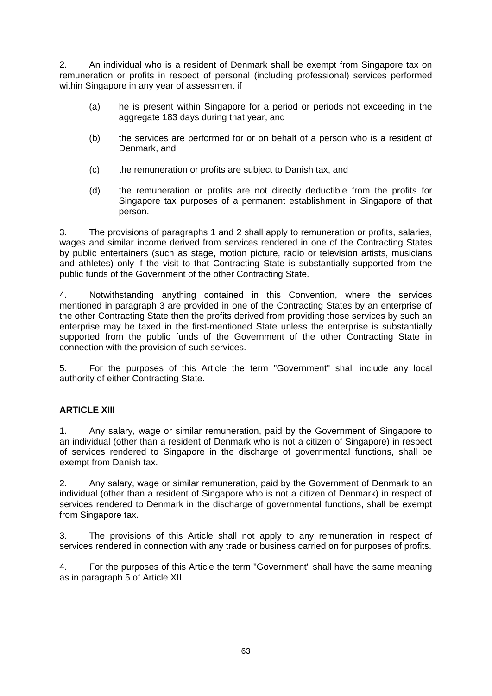2. An individual who is a resident of Denmark shall be exempt from Singapore tax on remuneration or profits in respect of personal (including professional) services performed within Singapore in any year of assessment if

- (a) he is present within Singapore for a period or periods not exceeding in the aggregate 183 days during that year, and
- (b) the services are performed for or on behalf of a person who is a resident of Denmark, and
- (c) the remuneration or profits are subject to Danish tax, and
- (d) the remuneration or profits are not directly deductible from the profits for Singapore tax purposes of a permanent establishment in Singapore of that person.

3. The provisions of paragraphs 1 and 2 shall apply to remuneration or profits, salaries, wages and similar income derived from services rendered in one of the Contracting States by public entertainers (such as stage, motion picture, radio or television artists, musicians and athletes) only if the visit to that Contracting State is substantially supported from the public funds of the Government of the other Contracting State.

4. Notwithstanding anything contained in this Convention, where the services mentioned in paragraph 3 are provided in one of the Contracting States by an enterprise of the other Contracting State then the profits derived from providing those services by such an enterprise may be taxed in the first-mentioned State unless the enterprise is substantially supported from the public funds of the Government of the other Contracting State in connection with the provision of such services.

5. For the purposes of this Article the term "Government" shall include any local authority of either Contracting State.

# **ARTICLE XIII**

1. Any salary, wage or similar remuneration, paid by the Government of Singapore to an individual (other than a resident of Denmark who is not a citizen of Singapore) in respect of services rendered to Singapore in the discharge of governmental functions, shall be exempt from Danish tax.

2. Any salary, wage or similar remuneration, paid by the Government of Denmark to an individual (other than a resident of Singapore who is not a citizen of Denmark) in respect of services rendered to Denmark in the discharge of governmental functions, shall be exempt from Singapore tax.

3. The provisions of this Article shall not apply to any remuneration in respect of services rendered in connection with any trade or business carried on for purposes of profits.

4. For the purposes of this Article the term "Government" shall have the same meaning as in paragraph 5 of Article XII.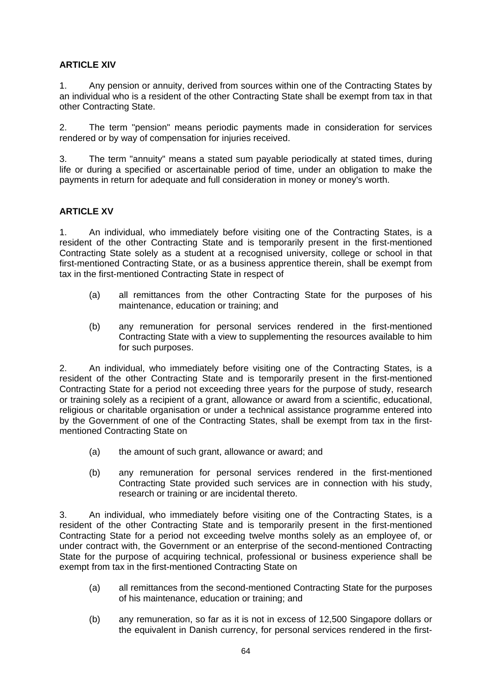# **ARTICLE XIV**

1. Any pension or annuity, derived from sources within one of the Contracting States by an individual who is a resident of the other Contracting State shall be exempt from tax in that other Contracting State.

2. The term "pension" means periodic payments made in consideration for services rendered or by way of compensation for injuries received.

3. The term "annuity" means a stated sum payable periodically at stated times, during life or during a specified or ascertainable period of time, under an obligation to make the payments in return for adequate and full consideration in money or money's worth.

# **ARTICLE XV**

1. An individual, who immediately before visiting one of the Contracting States, is a resident of the other Contracting State and is temporarily present in the first-mentioned Contracting State solely as a student at a recognised university, college or school in that first-mentioned Contracting State, or as a business apprentice therein, shall be exempt from tax in the first-mentioned Contracting State in respect of

- (a) all remittances from the other Contracting State for the purposes of his maintenance, education or training; and
- (b) any remuneration for personal services rendered in the first-mentioned Contracting State with a view to supplementing the resources available to him for such purposes.

2. An individual, who immediately before visiting one of the Contracting States, is a resident of the other Contracting State and is temporarily present in the first-mentioned Contracting State for a period not exceeding three years for the purpose of study, research or training solely as a recipient of a grant, allowance or award from a scientific, educational, religious or charitable organisation or under a technical assistance programme entered into by the Government of one of the Contracting States, shall be exempt from tax in the firstmentioned Contracting State on

- (a) the amount of such grant, allowance or award; and
- (b) any remuneration for personal services rendered in the first-mentioned Contracting State provided such services are in connection with his study, research or training or are incidental thereto.

3. An individual, who immediately before visiting one of the Contracting States, is a resident of the other Contracting State and is temporarily present in the first-mentioned Contracting State for a period not exceeding twelve months solely as an employee of, or under contract with, the Government or an enterprise of the second-mentioned Contracting State for the purpose of acquiring technical, professional or business experience shall be exempt from tax in the first-mentioned Contracting State on

- (a) all remittances from the second-mentioned Contracting State for the purposes of his maintenance, education or training; and
- (b) any remuneration, so far as it is not in excess of 12,500 Singapore dollars or the equivalent in Danish currency, for personal services rendered in the first-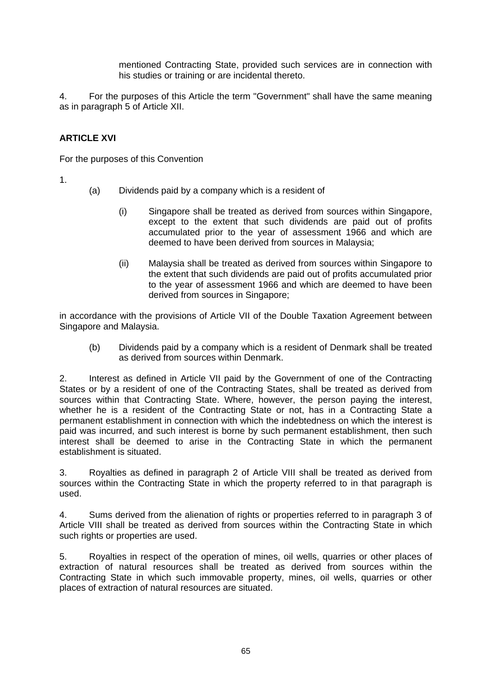mentioned Contracting State, provided such services are in connection with his studies or training or are incidental thereto.

4. For the purposes of this Article the term "Government" shall have the same meaning as in paragraph 5 of Article XII.

# **ARTICLE XVI**

For the purposes of this Convention

- 1.
- (a) Dividends paid by a company which is a resident of
	- (i) Singapore shall be treated as derived from sources within Singapore, except to the extent that such dividends are paid out of profits accumulated prior to the year of assessment 1966 and which are deemed to have been derived from sources in Malaysia;
	- (ii) Malaysia shall be treated as derived from sources within Singapore to the extent that such dividends are paid out of profits accumulated prior to the year of assessment 1966 and which are deemed to have been derived from sources in Singapore;

in accordance with the provisions of Article VII of the Double Taxation Agreement between Singapore and Malaysia.

(b) Dividends paid by a company which is a resident of Denmark shall be treated as derived from sources within Denmark.

2. Interest as defined in Article VII paid by the Government of one of the Contracting States or by a resident of one of the Contracting States, shall be treated as derived from sources within that Contracting State. Where, however, the person paying the interest, whether he is a resident of the Contracting State or not, has in a Contracting State a permanent establishment in connection with which the indebtedness on which the interest is paid was incurred, and such interest is borne by such permanent establishment, then such interest shall be deemed to arise in the Contracting State in which the permanent establishment is situated.

3. Royalties as defined in paragraph 2 of Article VIII shall be treated as derived from sources within the Contracting State in which the property referred to in that paragraph is used.

4. Sums derived from the alienation of rights or properties referred to in paragraph 3 of Article VIII shall be treated as derived from sources within the Contracting State in which such rights or properties are used.

5. Royalties in respect of the operation of mines, oil wells, quarries or other places of extraction of natural resources shall be treated as derived from sources within the Contracting State in which such immovable property, mines, oil wells, quarries or other places of extraction of natural resources are situated.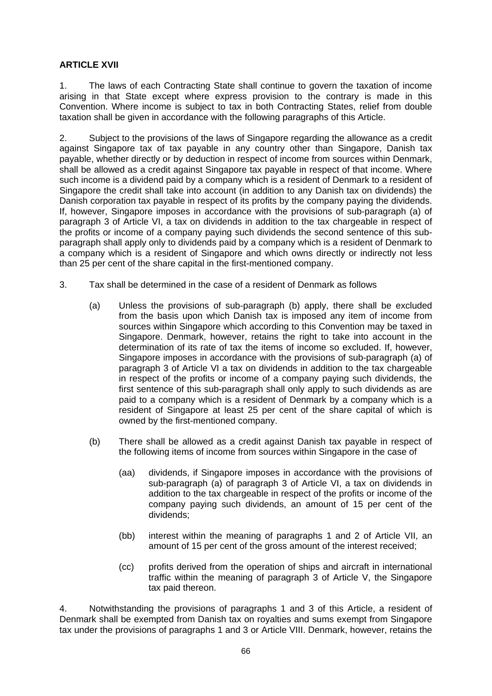# **ARTICLE XVII**

1. The laws of each Contracting State shall continue to govern the taxation of income arising in that State except where express provision to the contrary is made in this Convention. Where income is subject to tax in both Contracting States, relief from double taxation shall be given in accordance with the following paragraphs of this Article.

2. Subject to the provisions of the laws of Singapore regarding the allowance as a credit against Singapore tax of tax payable in any country other than Singapore, Danish tax payable, whether directly or by deduction in respect of income from sources within Denmark, shall be allowed as a credit against Singapore tax payable in respect of that income. Where such income is a dividend paid by a company which is a resident of Denmark to a resident of Singapore the credit shall take into account (in addition to any Danish tax on dividends) the Danish corporation tax payable in respect of its profits by the company paying the dividends. If, however, Singapore imposes in accordance with the provisions of sub-paragraph (a) of paragraph 3 of Article VI, a tax on dividends in addition to the tax chargeable in respect of the profits or income of a company paying such dividends the second sentence of this subparagraph shall apply only to dividends paid by a company which is a resident of Denmark to a company which is a resident of Singapore and which owns directly or indirectly not less than 25 per cent of the share capital in the first-mentioned company.

- 3. Tax shall be determined in the case of a resident of Denmark as follows
	- (a) Unless the provisions of sub-paragraph (b) apply, there shall be excluded from the basis upon which Danish tax is imposed any item of income from sources within Singapore which according to this Convention may be taxed in Singapore. Denmark, however, retains the right to take into account in the determination of its rate of tax the items of income so excluded. If, however, Singapore imposes in accordance with the provisions of sub-paragraph (a) of paragraph 3 of Article VI a tax on dividends in addition to the tax chargeable in respect of the profits or income of a company paying such dividends, the first sentence of this sub-paragraph shall only apply to such dividends as are paid to a company which is a resident of Denmark by a company which is a resident of Singapore at least 25 per cent of the share capital of which is owned by the first-mentioned company.
	- (b) There shall be allowed as a credit against Danish tax payable in respect of the following items of income from sources within Singapore in the case of
		- (aa) dividends, if Singapore imposes in accordance with the provisions of sub-paragraph (a) of paragraph 3 of Article VI, a tax on dividends in addition to the tax chargeable in respect of the profits or income of the company paying such dividends, an amount of 15 per cent of the dividends;
		- (bb) interest within the meaning of paragraphs 1 and 2 of Article VII, an amount of 15 per cent of the gross amount of the interest received;
		- (cc) profits derived from the operation of ships and aircraft in international traffic within the meaning of paragraph 3 of Article V, the Singapore tax paid thereon.

4. Notwithstanding the provisions of paragraphs 1 and 3 of this Article, a resident of Denmark shall be exempted from Danish tax on royalties and sums exempt from Singapore tax under the provisions of paragraphs 1 and 3 or Article VIII. Denmark, however, retains the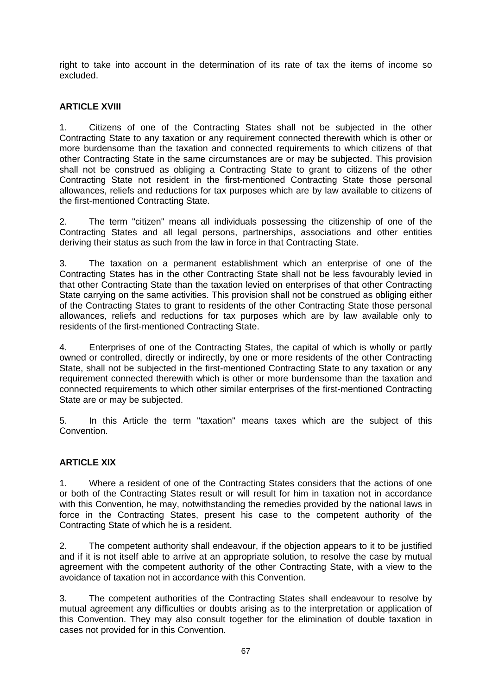right to take into account in the determination of its rate of tax the items of income so excluded.

## **ARTICLE XVIII**

1. Citizens of one of the Contracting States shall not be subjected in the other Contracting State to any taxation or any requirement connected therewith which is other or more burdensome than the taxation and connected requirements to which citizens of that other Contracting State in the same circumstances are or may be subjected. This provision shall not be construed as obliging a Contracting State to grant to citizens of the other Contracting State not resident in the first-mentioned Contracting State those personal allowances, reliefs and reductions for tax purposes which are by law available to citizens of the first-mentioned Contracting State.

2. The term "citizen" means all individuals possessing the citizenship of one of the Contracting States and all legal persons, partnerships, associations and other entities deriving their status as such from the law in force in that Contracting State.

3. The taxation on a permanent establishment which an enterprise of one of the Contracting States has in the other Contracting State shall not be less favourably levied in that other Contracting State than the taxation levied on enterprises of that other Contracting State carrying on the same activities. This provision shall not be construed as obliging either of the Contracting States to grant to residents of the other Contracting State those personal allowances, reliefs and reductions for tax purposes which are by law available only to residents of the first-mentioned Contracting State.

4. Enterprises of one of the Contracting States, the capital of which is wholly or partly owned or controlled, directly or indirectly, by one or more residents of the other Contracting State, shall not be subjected in the first-mentioned Contracting State to any taxation or any requirement connected therewith which is other or more burdensome than the taxation and connected requirements to which other similar enterprises of the first-mentioned Contracting State are or may be subjected.

5. In this Article the term "taxation" means taxes which are the subject of this Convention.

# **ARTICLE XIX**

1. Where a resident of one of the Contracting States considers that the actions of one or both of the Contracting States result or will result for him in taxation not in accordance with this Convention, he may, notwithstanding the remedies provided by the national laws in force in the Contracting States, present his case to the competent authority of the Contracting State of which he is a resident.

2. The competent authority shall endeavour, if the objection appears to it to be justified and if it is not itself able to arrive at an appropriate solution, to resolve the case by mutual agreement with the competent authority of the other Contracting State, with a view to the avoidance of taxation not in accordance with this Convention.

3. The competent authorities of the Contracting States shall endeavour to resolve by mutual agreement any difficulties or doubts arising as to the interpretation or application of this Convention. They may also consult together for the elimination of double taxation in cases not provided for in this Convention.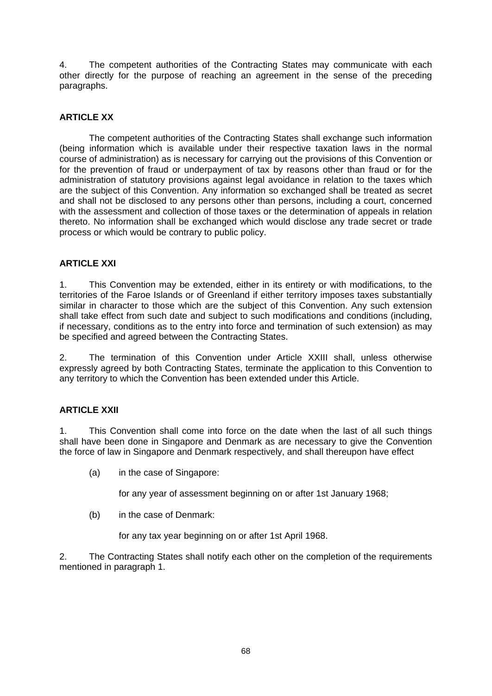4. The competent authorities of the Contracting States may communicate with each other directly for the purpose of reaching an agreement in the sense of the preceding paragraphs.

# **ARTICLE XX**

The competent authorities of the Contracting States shall exchange such information (being information which is available under their respective taxation laws in the normal course of administration) as is necessary for carrying out the provisions of this Convention or for the prevention of fraud or underpayment of tax by reasons other than fraud or for the administration of statutory provisions against legal avoidance in relation to the taxes which are the subject of this Convention. Any information so exchanged shall be treated as secret and shall not be disclosed to any persons other than persons, including a court, concerned with the assessment and collection of those taxes or the determination of appeals in relation thereto. No information shall be exchanged which would disclose any trade secret or trade process or which would be contrary to public policy.

## **ARTICLE XXI**

1. This Convention may be extended, either in its entirety or with modifications, to the territories of the Faroe Islands or of Greenland if either territory imposes taxes substantially similar in character to those which are the subject of this Convention. Any such extension shall take effect from such date and subject to such modifications and conditions (including, if necessary, conditions as to the entry into force and termination of such extension) as may be specified and agreed between the Contracting States.

2. The termination of this Convention under Article XXIII shall, unless otherwise expressly agreed by both Contracting States, terminate the application to this Convention to any territory to which the Convention has been extended under this Article.

## **ARTICLE XXII**

1. This Convention shall come into force on the date when the last of all such things shall have been done in Singapore and Denmark as are necessary to give the Convention the force of law in Singapore and Denmark respectively, and shall thereupon have effect

(a) in the case of Singapore:

for any year of assessment beginning on or after 1st January 1968;

(b) in the case of Denmark:

for any tax year beginning on or after 1st April 1968.

2. The Contracting States shall notify each other on the completion of the requirements mentioned in paragraph 1.